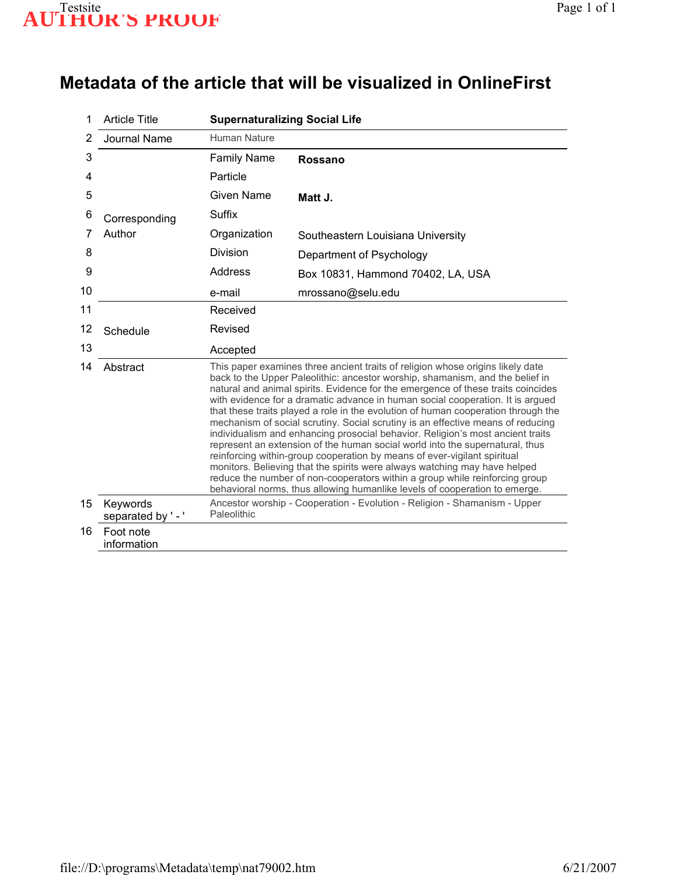### Metadata of the article that will be visualized in OnlineFirst

| 1  | <b>Article Title</b>            | <b>Supernaturalizing Social Life</b>                                                                                                                                                                                                                                                                                                                                                                                                                                                                                                                                                                                                                                                                                                                                                                                                                                                                                                                                                                  |                                                                           |  |
|----|---------------------------------|-------------------------------------------------------------------------------------------------------------------------------------------------------------------------------------------------------------------------------------------------------------------------------------------------------------------------------------------------------------------------------------------------------------------------------------------------------------------------------------------------------------------------------------------------------------------------------------------------------------------------------------------------------------------------------------------------------------------------------------------------------------------------------------------------------------------------------------------------------------------------------------------------------------------------------------------------------------------------------------------------------|---------------------------------------------------------------------------|--|
| 2  | Journal Name                    | Human Nature                                                                                                                                                                                                                                                                                                                                                                                                                                                                                                                                                                                                                                                                                                                                                                                                                                                                                                                                                                                          |                                                                           |  |
| 3  |                                 | <b>Family Name</b>                                                                                                                                                                                                                                                                                                                                                                                                                                                                                                                                                                                                                                                                                                                                                                                                                                                                                                                                                                                    | Rossano                                                                   |  |
| 4  |                                 | Particle                                                                                                                                                                                                                                                                                                                                                                                                                                                                                                                                                                                                                                                                                                                                                                                                                                                                                                                                                                                              |                                                                           |  |
| 5  |                                 | Given Name                                                                                                                                                                                                                                                                                                                                                                                                                                                                                                                                                                                                                                                                                                                                                                                                                                                                                                                                                                                            | Matt J.                                                                   |  |
| 6  | Corresponding                   | Suffix                                                                                                                                                                                                                                                                                                                                                                                                                                                                                                                                                                                                                                                                                                                                                                                                                                                                                                                                                                                                |                                                                           |  |
| 7  | Author                          | Organization                                                                                                                                                                                                                                                                                                                                                                                                                                                                                                                                                                                                                                                                                                                                                                                                                                                                                                                                                                                          | Southeastern Louisiana University                                         |  |
| 8  |                                 | Division                                                                                                                                                                                                                                                                                                                                                                                                                                                                                                                                                                                                                                                                                                                                                                                                                                                                                                                                                                                              | Department of Psychology                                                  |  |
| 9  |                                 | Address                                                                                                                                                                                                                                                                                                                                                                                                                                                                                                                                                                                                                                                                                                                                                                                                                                                                                                                                                                                               | Box 10831, Hammond 70402, LA, USA                                         |  |
| 10 |                                 | e-mail                                                                                                                                                                                                                                                                                                                                                                                                                                                                                                                                                                                                                                                                                                                                                                                                                                                                                                                                                                                                | mrossano@selu.edu                                                         |  |
| 11 |                                 | Received                                                                                                                                                                                                                                                                                                                                                                                                                                                                                                                                                                                                                                                                                                                                                                                                                                                                                                                                                                                              |                                                                           |  |
| 12 | Schedule                        | Revised                                                                                                                                                                                                                                                                                                                                                                                                                                                                                                                                                                                                                                                                                                                                                                                                                                                                                                                                                                                               |                                                                           |  |
| 13 |                                 | Accepted                                                                                                                                                                                                                                                                                                                                                                                                                                                                                                                                                                                                                                                                                                                                                                                                                                                                                                                                                                                              |                                                                           |  |
| 14 | Abstract                        | This paper examines three ancient traits of religion whose origins likely date<br>back to the Upper Paleolithic: ancestor worship, shamanism, and the belief in<br>natural and animal spirits. Evidence for the emergence of these traits coincides<br>with evidence for a dramatic advance in human social cooperation. It is argued<br>that these traits played a role in the evolution of human cooperation through the<br>mechanism of social scrutiny. Social scrutiny is an effective means of reducing<br>individualism and enhancing prosocial behavior. Religion's most ancient traits<br>represent an extension of the human social world into the supernatural, thus<br>reinforcing within-group cooperation by means of ever-vigilant spiritual<br>monitors. Believing that the spirits were always watching may have helped<br>reduce the number of non-cooperators within a group while reinforcing group<br>behavioral norms, thus allowing humanlike levels of cooperation to emerge. |                                                                           |  |
| 15 | Keywords                        | Paleolithic                                                                                                                                                                                                                                                                                                                                                                                                                                                                                                                                                                                                                                                                                                                                                                                                                                                                                                                                                                                           | Ancestor worship - Cooperation - Evolution - Religion - Shamanism - Upper |  |
| 16 | separated by ' - '<br>Foot note |                                                                                                                                                                                                                                                                                                                                                                                                                                                                                                                                                                                                                                                                                                                                                                                                                                                                                                                                                                                                       |                                                                           |  |
|    | information                     |                                                                                                                                                                                                                                                                                                                                                                                                                                                                                                                                                                                                                                                                                                                                                                                                                                                                                                                                                                                                       |                                                                           |  |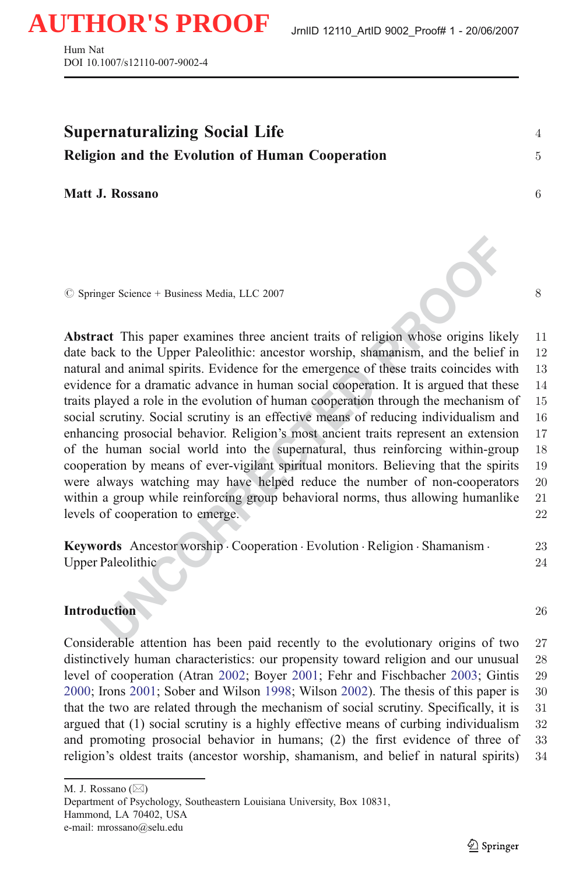Hum Nat DOI 10.1007/s12110-007-9002-4

**AUTHOR'S PROOF**

### Supernaturalizing Social Life 4 Religion and the Evolution of Human Cooperation 5

Matt J. Rossano 60 and 1980 and 1980 and 1980 and 1980 and 1980 and 1980 and 1980 and 1980 and 1980 and 1980 and 1980 and 1980 and 1980 and 1980 and 1980 and 1980 and 1980 and 1980 and 1980 and 1980 and 1980 and 1980 and 1

C Springer Science + Business Media, LLC 2007 8

ger Science + Business Media, LLC 2007<br>
net This paper examines three ancient traits of religion whose origins like<br>
ack to the Upper Paleolithic: ancestor worship, shamanism, and the belief<br>
and animal spirits. Evidence f Abstract This paper examines three ancient traits of religion whose origins likely 11 date back to the Upper Paleolithic: ancestor worship, shamanism, and the belief in 12 natural and animal spirits. Evidence for the emergence of these traits coincides with 13 evidence for a dramatic advance in human social cooperation. It is argued that these 14 traits played a role in the evolution of human cooperation through the mechanism of 15 social scrutiny. Social scrutiny is an effective means of reducing individualism and 16 enhancing prosocial behavior. Religion's most ancient traits represent an extension 17 of the human social world into the supernatural, thus reinforcing within-group 18 cooperation by means of ever-vigilant spiritual monitors. Believing that the spirits 19 were always watching may have helped reduce the number of non-cooperators 20 within a group while reinforcing group behavioral norms, thus allowing humanlike 21 levels of cooperation to emerge. 22

Keywords Ancestor worship . Cooperation . Evolution . Religion . Shamanism . 23 Upper Paleolithic 24

#### **Introduction** 26

Considerable attention has been paid recently to the evolutionary origins of two 27 distinctively human characteristics: our propensity toward religion and our unusual 28 level of cooperation (Atran [2002;](#page-17-0) Boyer [2001](#page-18-0); Fehr and Fischbacher [2003](#page-19-0); Gintis 29 [2000](#page-19-0); Irons [2001](#page-20-0); Sober and Wilson [1998](#page-22-0); Wilson [2002\)](#page-22-0). The thesis of this paper is 30 that the two are related through the mechanism of social scrutiny. Specifically, it is 31 argued that (1) social scrutiny is a highly effective means of curbing individualism 32 and promoting prosocial behavior in humans; (2) the first evidence of three of 33 religion's oldest traits (ancestor worship, shamanism, and belief in natural spirits) 34

M. J. Rossano  $(\boxtimes)$ 

Department of Psychology, Southeastern Louisiana University, Box 10831, Hammond, LA 70402, USA

e-mail: mrossano@selu.edu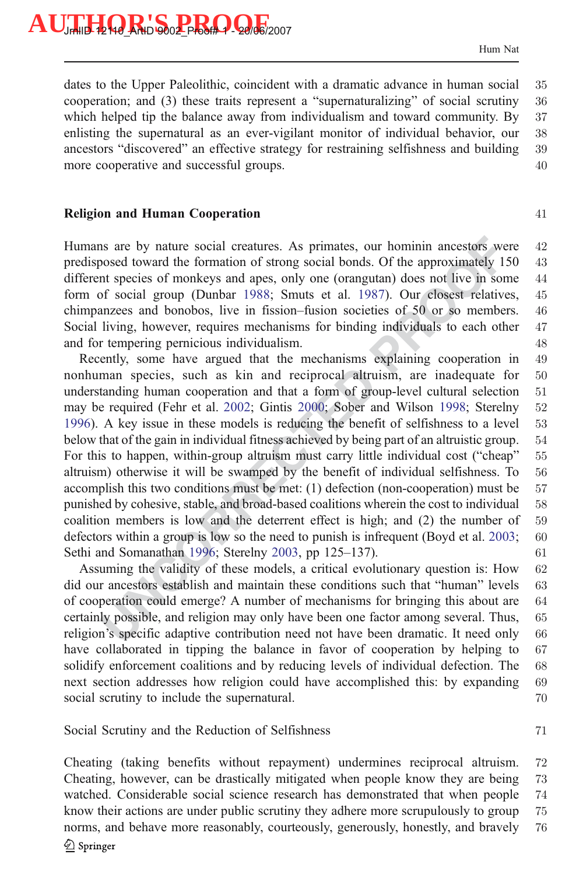Hum Nat

dates to the Upper Paleolithic, coincident with a dramatic advance in human social 35 cooperation; and (3) these traits represent a "supernaturalizing" of social scrutiny 36 which helped tip the balance away from individualism and toward community. By 37 enlisting the supernatural as an ever-vigilant monitor of individual behavior, our 38 ancestors "discovered" an effective strategy for restraining selfishness and building 39 more cooperative and successful groups. 40

#### Religion and Human Cooperation 41

Humans are by nature social creatures. As primates, our hominin ancestors were 42 predisposed toward the formation of strong social bonds. Of the approximately 150 43 different species of monkeys and apes, only one (orangutan) does not live in some 44 form of social group (Dunbar [1988](#page-19-0); Smuts et al. [1987](#page-22-0)). Our closest relatives, 45 chimpanzees and bonobos, live in fission–fusion societies of 50 or so members. 46 Social living, however, requires mechanisms for binding individuals to each other 47 and for tempering pernicious individualism. 48

is are by nature social creatures. As primates, our hominin ancestors we<br>oosed toward the formation of strong social bonds. Of the approximately 1:<br>it species of monkeys and apes, only one (orangutan) oloes not live in som Recently, some have argued that the mechanisms explaining cooperation in 49 nonhuman species, such as kin and reciprocal altruism, are inadequate for 50 understanding human cooperation and that a form of group-level cultural selection 51 may be required (Fehr et al. 2002; Gintis 2000; Sober and Wilson [1998](#page-22-0); Sterelny 52 [1996](#page-22-0)). A key issue in these models is reducing the benefit of selfishness to a level 53 below that of the gain in individual fitness achieved by being part of an altruistic group. 54 For this to happen, within-group altruism must carry little individual cost ("cheap" 55 altruism) otherwise it will be swamped by the benefit of individual selfishness. To 56 accomplish this two conditions must be met: (1) defection (non-cooperation) must be 57 punished by cohesive, stable, and broad-based coalitions wherein the cost to individual 58 coalition members is low and the deterrent effect is high; and (2) the number of 59 defectors within a group is low so the need to punish is infrequent (Boyd et al. [2003;](#page-18-0) 60) Sethi and Somanathan 1996; Sterelny 2003, pp 125–137). 61

Assuming the validity of these models, a critical evolutionary question is: How 62 did our ancestors establish and maintain these conditions such that "human" levels 63 of cooperation could emerge? A number of mechanisms for bringing this about are 64 certainly possible, and religion may only have been one factor among several. Thus, 65 religion's specific adaptive contribution need not have been dramatic. It need only 66 have collaborated in tipping the balance in favor of cooperation by helping to 67 solidify enforcement coalitions and by reducing levels of individual defection. The 68 next section addresses how religion could have accomplished this: by expanding 69 social scrutiny to include the supernatural. The matter of  $\frac{1}{2}$  and  $\frac{1}{2}$  and  $\frac{1}{2}$  and  $\frac{1}{2}$  and  $\frac{1}{2}$  and  $\frac{1}{2}$  and  $\frac{1}{2}$  and  $\frac{1}{2}$  and  $\frac{1}{2}$  and  $\frac{1}{2}$  and  $\frac{1}{2}$  and  $\frac{1}{2}$ 

Social Scrutiny and the Reduction of Selfishness 71

Cheating (taking benefits without repayment) undermines reciprocal altruism. 72 Cheating, however, can be drastically mitigated when people know they are being 73 watched. Considerable social science research has demonstrated that when people 74 know their actions are under public scrutiny they adhere more scrupulously to group 75 norms, and behave more reasonably, courteously, generously, honestly, and bravely 76  $\textcircled{2}$  Springer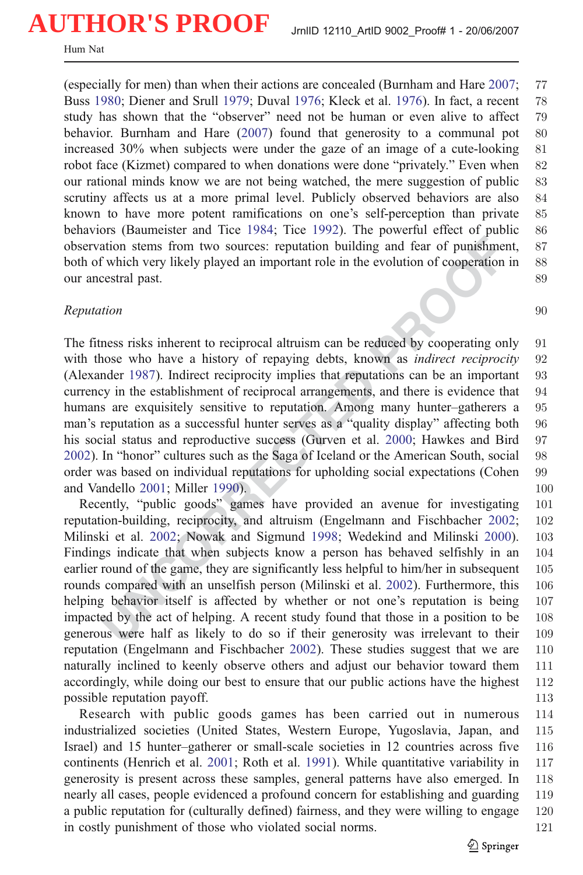Hum Nat

(especially for men) than when their actions are concealed (Burnham and Hare [2007;](#page-18-0) 77 Buss [1980;](#page-18-0) Diener and Srull [1979;](#page-19-0) Duval [1976;](#page-19-0) Kleck et al. [1976](#page-20-0)). In fact, a recent 78 study has shown that the "observer" need not be human or even alive to affect 79 behavior. Burnham and Hare ([2007\)](#page-18-0) found that generosity to a communal pot 80 increased 30% when subjects were under the gaze of an image of a cute-looking 81 robot face (Kizmet) compared to when donations were done "privately." Even when 82 our rational minds know we are not being watched, the mere suggestion of public 83 scrutiny affects us at a more primal level. Publicly observed behaviors are also 84 known to have more potent ramifications on one's self-perception than private 85 behaviors (Baumeister and Tice [1984;](#page-18-0) Tice [1992](#page-22-0)). The powerful effect of public 86 observation stems from two sources: reputation building and fear of punishment, 87 both of which very likely played an important role in the evolution of cooperation in 88 our ancestral past. 89

#### Reputation 90

ation stems from two sources: reputation building and fear of punishment which very likely played an important role in the evolution of cooperation cestral past.<br> *ution*<br>
mess risks inherent to reciprocal altruism can be The fitness risks inherent to reciprocal altruism can be reduced by cooperating only 91 with those who have a history of repaying debts, known as *indirect reciprocity* 92 (Alexander 1987). Indirect reciprocity implies that reputations can be an important 93 currency in the establishment of reciprocal arrangements, and there is evidence that 94 humans are exquisitely sensitive to reputation. Among many hunter–gatherers a 95 man's reputation as a successful hunter serves as a "quality display" affecting both 96 his social status and reproductive success (Gurven et al. [2000;](#page-19-0) Hawkes and Bird 97 [2002](#page-20-0)). In "honor" cultures such as the Saga of Iceland or the American South, social 98 order was based on individual reputations for upholding social expectations (Cohen 99 and Vandello 2001; Miller 1990). 100

Recently, "public goods" games have provided an avenue for investigating 101 reputation-building, reciprocity, and altruism (Engelmann and Fischbacher [2002;](#page-19-0) 102 Milinski et al. 2002; Nowak and Sigmund 1998; Wedekind and Milinski [2000\)](#page-22-0). 103 Findings indicate that when subjects know a person has behaved selfishly in an 104 earlier round of the game, they are significantly less helpful to him/her in subsequent 105 rounds compared with an unselfish person (Milinski et al. [2002](#page-21-0)). Furthermore, this 106 helping behavior itself is affected by whether or not one's reputation is being 107 impacted by the act of helping. A recent study found that those in a position to be 108 generous were half as likely to do so if their generosity was irrelevant to their 109 reputation (Engelmann and Fischbacher [2002\)](#page-19-0). These studies suggest that we are 110 naturally inclined to keenly observe others and adjust our behavior toward them 111 accordingly, while doing our best to ensure that our public actions have the highest 112 possible reputation payoff. 113

Research with public goods games has been carried out in numerous 114 industrialized societies (United States, Western Europe, Yugoslavia, Japan, and 115 Israel) and 15 hunter–gatherer or small-scale societies in 12 countries across five 116 continents (Henrich et al. [2001;](#page-20-0) Roth et al. [1991](#page-21-0)). While quantitative variability in 117 generosity is present across these samples, general patterns have also emerged. In 118 nearly all cases, people evidenced a profound concern for establishing and guarding 119 a public reputation for (culturally defined) fairness, and they were willing to engage 120 in costly punishment of those who violated social norms. 121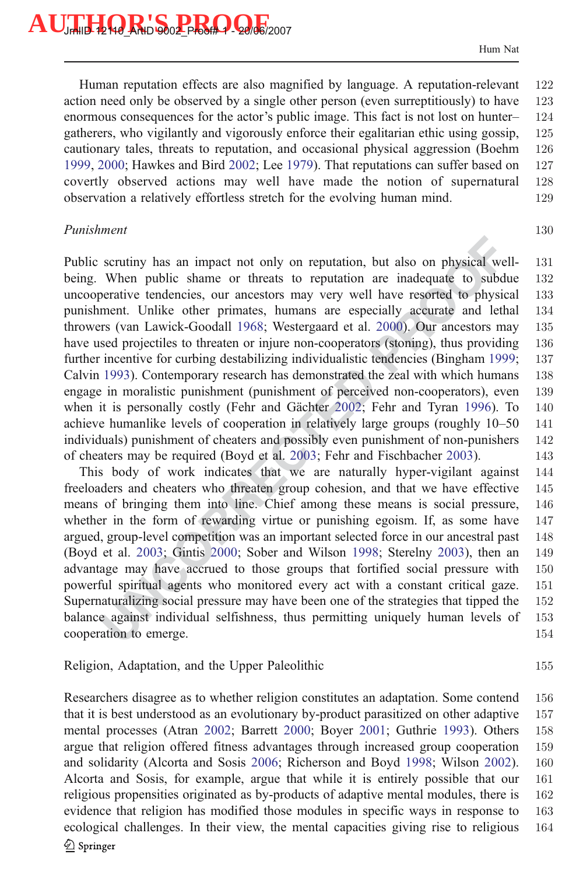Hum Nat

Human reputation effects are also magnified by language. A reputation-relevant 122 action need only be observed by a single other person (even surreptitiously) to have 123 enormous consequences for the actor's public image. This fact is not lost on hunter– 124 gatherers, who vigilantly and vigorously enforce their egalitarian ethic using gossip, 125 cautionary tales, threats to reputation, and occasional physical aggression (Boehm 126 [1999](#page-18-0), [2000](#page-18-0); Hawkes and Bird [2002](#page-20-0); Lee [1979](#page-20-0)). That reputations can suffer based on 127 covertly observed actions may well have made the notion of supernatural 128 observation a relatively effortless stretch for the evolving human mind. 129

#### Punishment 130

scrutiny has an impact not only on reputation, but also on physical we<br>When public shame or threats to reputation are inadequate to subd<br>perative tendencies, our ancestors may very well have resorted to physic<br>ment. Unlike Public scrutiny has an impact not only on reputation, but also on physical well- 131 being. When public shame or threats to reputation are inadequate to subdue 132 uncooperative tendencies, our ancestors may very well have resorted to physical 133 punishment. Unlike other primates, humans are especially accurate and lethal 134 throwers (van Lawick-Goodall [1968](#page-22-0); Westergaard et al. 2000). Our ancestors may 135 have used projectiles to threaten or injure non-cooperators (stoning), thus providing 136 further incentive for curbing destabilizing individualistic tendencies (Bingham [1999;](#page-18-0) 137) Calvin 1993). Contemporary research has demonstrated the zeal with which humans 138 engage in moralistic punishment (punishment of perceived non-cooperators), even 139 when it is personally costly (Fehr and Gächter 2002; Fehr and Tyran [1996](#page-19-0)). To 140 achieve humanlike levels of cooperation in relatively large groups (roughly 10–50 141 individuals) punishment of cheaters and possibly even punishment of non-punishers 142 of cheaters may be required (Boyd et al. 2003; Fehr and Fischbacher [2003\)](#page-19-0). 143

This body of work indicates that we are naturally hyper-vigilant against 144 freeloaders and cheaters who threaten group cohesion, and that we have effective 145 means of bringing them into line. Chief among these means is social pressure, 146 whether in the form of rewarding virtue or punishing egoism. If, as some have 147 argued, group-level competition was an important selected force in our ancestral past 148 (Boyd et al. 2003; Gintis 2000; Sober and Wilson [1998;](#page-22-0) Sterelny [2003](#page-22-0)), then an 149 advantage may have accrued to those groups that fortified social pressure with 150 powerful spiritual agents who monitored every act with a constant critical gaze. 151 Supernaturalizing social pressure may have been one of the strategies that tipped the 152 balance against individual selfishness, thus permitting uniquely human levels of 153 cooperation to emerge. 154

Religion, Adaptation, and the Upper Paleolithic 155

Researchers disagree as to whether religion constitutes an adaptation. Some contend 156 that it is best understood as an evolutionary by-product parasitized on other adaptive 157 mental processes (Atran [2002](#page-17-0); Barrett [2000](#page-18-0); Boyer [2001](#page-18-0); Guthrie [1993](#page-19-0)). Others 158 argue that religion offered fitness advantages through increased group cooperation 159 and solidarity (Alcorta and Sosis [2006](#page-17-0); Richerson and Boyd [1998](#page-21-0); Wilson [2002\)](#page-22-0). 160 Alcorta and Sosis, for example, argue that while it is entirely possible that our 161 religious propensities originated as by-products of adaptive mental modules, there is 162 evidence that religion has modified those modules in specific ways in response to 163 ecological challenges. In their view, the mental capacities giving rise to religious 164  $\textcircled{2}$  Springer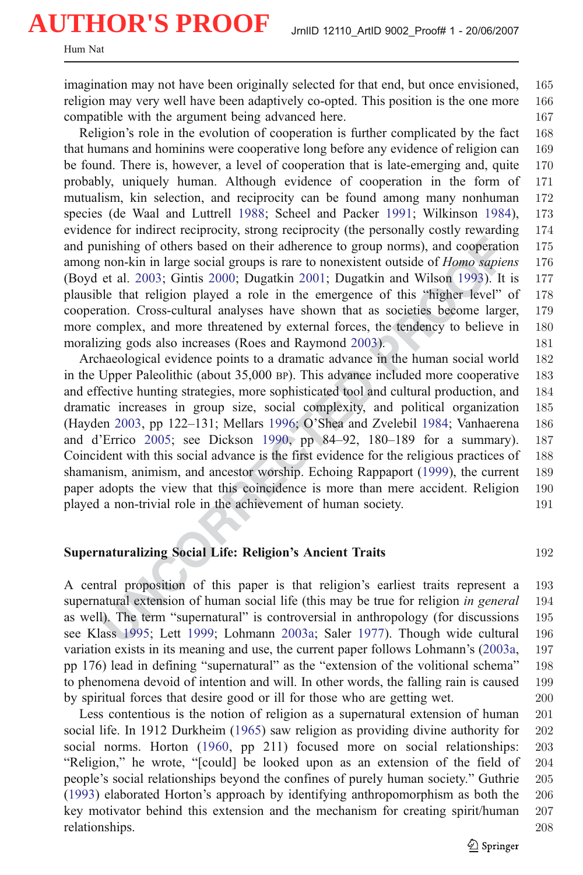Hum Nat

imagination may not have been originally selected for that end, but once envisioned, 165 religion may very well have been adaptively co-opted. This position is the one more 166 compatible with the argument being advanced here. 167

Religion's role in the evolution of cooperation is further complicated by the fact 168 that humans and hominins were cooperative long before any evidence of religion can 169 be found. There is, however, a level of cooperation that is late-emerging and, quite 170 probably, uniquely human. Although evidence of cooperation in the form of 171 mutualism, kin selection, and reciprocity can be found among many nonhuman 172 species (de Waal and Luttrell [1988](#page-19-0); Scheel and Packer [1991;](#page-22-0) Wilkinson [1984\)](#page-22-0), 173 evidence for indirect reciprocity, strong reciprocity (the personally costly rewarding 174 and punishing of others based on their adherence to group norms), and cooperation 175 among non-kin in large social groups is rare to nonexistent outside of *Homo sapiens* 176 (Boyd et al. [2003](#page-18-0); Gintis [2000](#page-19-0); Dugatkin [2001;](#page-19-0) Dugatkin and Wilson 1993). It is 177 plausible that religion played a role in the emergence of this "higher level" of 178 cooperation. Cross-cultural analyses have shown that as societies become larger, 179 more complex, and more threatened by external forces, the tendency to believe in 180 moralizing gods also increases (Roes and Raymond [2003\)](#page-21-0). 181

mishing of others based on their adherence to group norms), and cooperation-<br>
tin and the all 2003; Gintis 2000; Dugarkin 2001; Dugarkin and Wilson 1993). It<br>
et al. 2003; Gintis 2000; Dugarkin 2001; Dugarkin and Wilson 19 Archaeological evidence points to a dramatic advance in the human social world 182 in the Upper Paleolithic (about 35,000 BP). This advance included more cooperative 183 and effective hunting strategies, more sophisticated tool and cultural production, and 184 dramatic increases in group size, social complexity, and political organization 185 (Hayden 2003, pp 122–131; Mellars 1996; O'Shea and Zvelebil [1984](#page-21-0); Vanhaerena 186 and d'Errico 2005; see Dickson 1990, pp 84–92, 180–189 for a summary). 187 Coincident with this social advance is the first evidence for the religious practices of 188 shamanism, animism, and ancestor worship. Echoing Rappaport ([1999\)](#page-21-0), the current 189 paper adopts the view that this coincidence is more than mere accident. Religion 190 played a non-trivial role in the achievement of human society. 191

#### Supernaturalizing Social Life: Religion's Ancient Traits 192

A central proposition of this paper is that religion's earliest traits represent a 193 supernatural extension of human social life (this may be true for religion *in general* 194 as well). The term "supernatural" is controversial in anthropology (for discussions 195 see Klass 1995; Lett 1999; Lohmann 2003a; Saler [1977\)](#page-21-0). Though wide cultural 196 variation exists in its meaning and use, the current paper follows Lohmann's ([2003a](#page-21-0), 197 pp 176) lead in defining "supernatural" as the "extension of the volitional schema" 198 to phenomena devoid of intention and will. In other words, the falling rain is caused 199 by spiritual forces that desire good or ill for those who are getting wet. 200

Less contentious is the notion of religion as a supernatural extension of human 201 social life. In 1912 Durkheim ([1965\)](#page-19-0) saw religion as providing divine authority for 202 social norms. Horton [\(1960,](#page-20-0) pp 211) focused more on social relationships: 203 "Religion," he wrote, "[could] be looked upon as an extension of the field of 204 people's social relationships beyond the confines of purely human society." Guthrie 205 ([1993\)](#page-19-0) elaborated Horton's approach by identifying anthropomorphism as both the 206 key motivator behind this extension and the mechanism for creating spirit/human 207 relationships. 208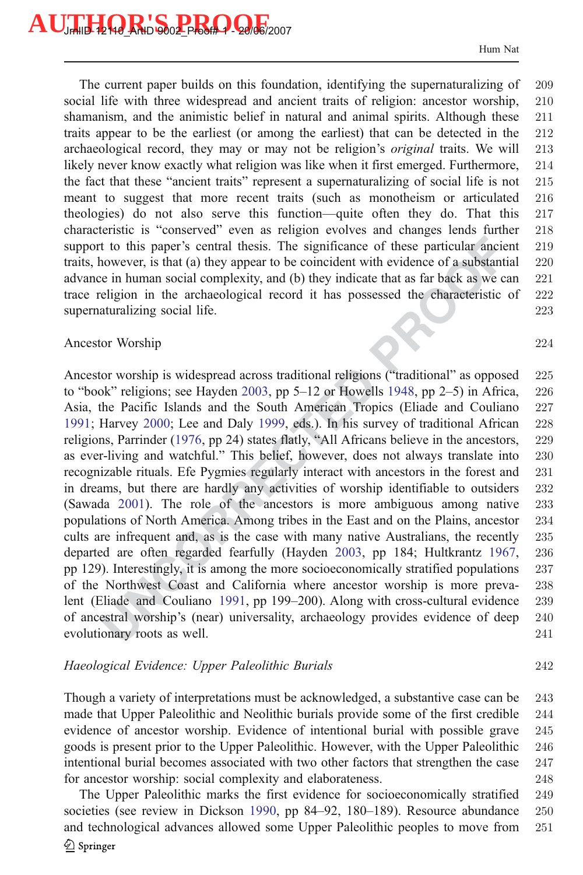Hum Nat

The current paper builds on this foundation, identifying the supernaturalizing of 209 social life with three widespread and ancient traits of religion: ancestor worship, 210 shamanism, and the animistic belief in natural and animal spirits. Although these 211 traits appear to be the earliest (or among the earliest) that can be detected in the 212 archaeological record, they may or may not be religion's *original* traits. We will 213 likely never know exactly what religion was like when it first emerged. Furthermore, 214 the fact that these "ancient traits" represent a supernaturalizing of social life is not 215 meant to suggest that more recent traits (such as monotheism or articulated 216 theologies) do not also serve this function—quite often they do. That this 217 characteristic is "conserved" even as religion evolves and changes lends further 218 support to this paper's central thesis. The significance of these particular ancient 219 traits, however, is that (a) they appear to be coincident with evidence of a substantial 220 advance in human social complexity, and (b) they indicate that as far back as we can 221 trace religion in the archaeological record it has possessed the characteristic of 222 supernaturalizing social life. 223

#### Ancestor Worship 224

t to this paper's central thesis. The significance of these particular ancie towever, is that (a) they appear to be coincident with evidence of a substantine in human social complexity, and (b) they indicate that as far ba Ancestor worship is widespread across traditional religions ("traditional" as opposed 225 to "book" religions; see Hayden 2003, pp 5–12 or Howells [1948](#page-20-0), pp 2–5) in Africa, 226 Asia, the Pacific Islands and the South American Tropics (Eliade and Couliano 227 [1991](#page-19-0); Harvey 2000; Lee and Daly 1999, eds.). In his survey of traditional African 228 religions, Parrinder (1976, pp 24) states flatly, "All Africans believe in the ancestors, 229 as ever-living and watchful." This belief, however, does not always translate into 230 recognizable rituals. Efe Pygmies regularly interact with ancestors in the forest and 231 in dreams, but there are hardly any activities of worship identifiable to outsiders 232 (Sawada 2001). The role of the ancestors is more ambiguous among native 233 populations of North America. Among tribes in the East and on the Plains, ancestor 234 cults are infrequent and, as is the case with many native Australians, the recently 235 departed are often regarded fearfully (Hayden 2003, pp 184; Hultkrantz [1967](#page-20-0), 236 pp 129). Interestingly, it is among the more socioeconomically stratified populations 237 of the Northwest Coast and California where ancestor worship is more preva- 238 lent (Eliade and Couliano 1991, pp 199–200). Along with cross-cultural evidence 239 of ancestral worship's (near) universality, archaeology provides evidence of deep 240 evolutionary roots as well. 241

#### Haeological Evidence: Upper Paleolithic Burials 242

Though a variety of interpretations must be acknowledged, a substantive case can be 243 made that Upper Paleolithic and Neolithic burials provide some of the first credible 244 evidence of ancestor worship. Evidence of intentional burial with possible grave 245 goods is present prior to the Upper Paleolithic. However, with the Upper Paleolithic 246 intentional burial becomes associated with two other factors that strengthen the case 247 for ancestor worship: social complexity and elaborateness. 248

The Upper Paleolithic marks the first evidence for socioeconomically stratified 249 societies (see review in Dickson [1990,](#page-19-0) pp 84–92, 180–189). Resource abundance 250 and technological advances allowed some Upper Paleolithic peoples to move from 251  $\textcircled{2}$  Springer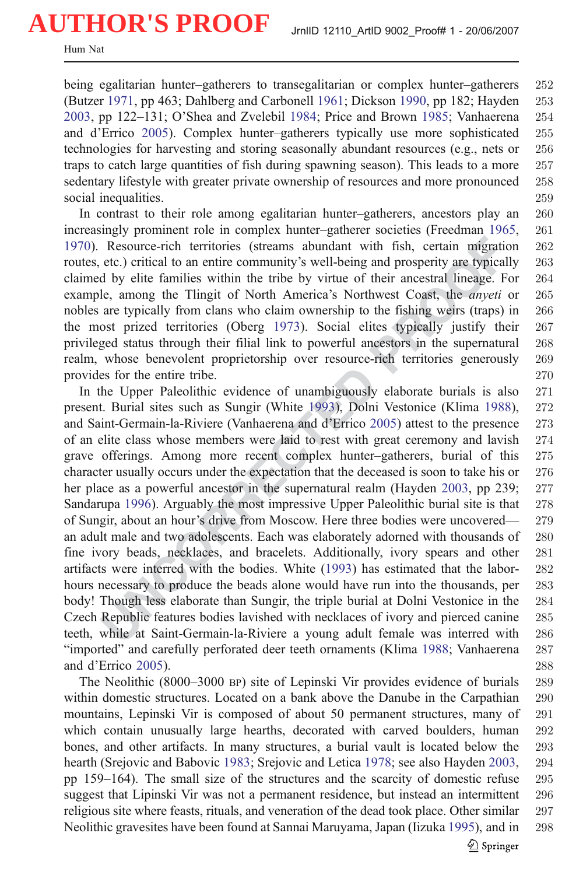Hum Nat

being egalitarian hunter–gatherers to transegalitarian or complex hunter–gatherers 252 (Butzer [1971](#page-18-0), pp 463; Dahlberg and Carbonell [1961](#page-18-0); Dickson [1990,](#page-19-0) pp 182; Hayden 253 [2003](#page-20-0), pp 122–131; O'Shea and Zvelebil [1984;](#page-21-0) Price and Brown [1985](#page-21-0); Vanhaerena 254 and d'Errico [2005\)](#page-22-0). Complex hunter–gatherers typically use more sophisticated 255 technologies for harvesting and storing seasonally abundant resources (e.g., nets or 256 traps to catch large quantities of fish during spawning season). This leads to a more 257 sedentary lifestyle with greater private ownership of resources and more pronounced 258 social inequalities. 259

In contrast to their role among egalitarian hunter–gatherers, ancestors play an 260 increasingly prominent role in complex hunter–gatherer societies (Freedman [1965](#page-19-0), 261 [1970](#page-19-0)). Resource-rich territories (streams abundant with fish, certain migration 262 routes, etc.) critical to an entire community's well-being and prosperity are typically 263 claimed by elite families within the tribe by virtue of their ancestral lineage. For 264 example, among the Tlingit of North America's Northwest Coast, the *anyeti* or 265 nobles are typically from clans who claim ownership to the fishing weirs (traps) in 266 the most prized territories (Oberg [1973\)](#page-21-0). Social elites typically justify their 267 privileged status through their filial link to powerful ancestors in the supernatural 268 realm, whose benevolent proprietorship over resource-rich territories generously 269 provides for the entire tribe. 270

Resource-rich territories (streams abundant with fish, certain migratic<br>etc.) critical to an entire community's well-being and prosperity are typical<br>dby elite families within the tribe by virtue of their ancestral lineage In the Upper Paleolithic evidence of unambiguously elaborate burials is also 271 present. Burial sites such as Sungir (White 1993), Dolni Vestonice (Klima [1988\)](#page-20-0), 272 and Saint-Germain-la-Riviere (Vanhaerena and d'Errico [2005](#page-22-0)) attest to the presence 273 of an elite class whose members were laid to rest with great ceremony and lavish 274 grave offerings. Among more recent complex hunter–gatherers, burial of this 275 character usually occurs under the expectation that the deceased is soon to take his or 276 her place as a powerful ancestor in the supernatural realm (Hayden [2003](#page-20-0), pp 239; 277 Sandarupa 1996). Arguably the most impressive Upper Paleolithic burial site is that 278 of Sungir, about an hour's drive from Moscow. Here three bodies were uncovered— 279 an adult male and two adolescents. Each was elaborately adorned with thousands of 280 fine ivory beads, necklaces, and bracelets. Additionally, ivory spears and other 281 artifacts were interred with the bodies. White (1993) has estimated that the labor- 282 hours necessary to produce the beads alone would have run into the thousands, per 283 body! Though less elaborate than Sungir, the triple burial at Dolni Vestonice in the 284 Czech Republic features bodies lavished with necklaces of ivory and pierced canine 285 teeth, while at Saint-Germain-la-Riviere a young adult female was interred with 286 "imported" and carefully perforated deer teeth ornaments (Klima [1988;](#page-20-0) Vanhaerena 287 and d'Errico [2005\)](#page-22-0). 288

The Neolithic (8000–3000 BP) site of Lepinski Vir provides evidence of burials 289 within domestic structures. Located on a bank above the Danube in the Carpathian 290 mountains, Lepinski Vir is composed of about 50 permanent structures, many of 291 which contain unusually large hearths, decorated with carved boulders, human 292 bones, and other artifacts. In many structures, a burial vault is located below the 293 hearth (Srejovic and Babovic [1983;](#page-22-0) Srejovic and Letica [1978](#page-22-0); see also Hayden [2003](#page-20-0), 294 pp 159–164). The small size of the structures and the scarcity of domestic refuse 295 suggest that Lipinski Vir was not a permanent residence, but instead an intermittent 296 religious site where feasts, rituals, and veneration of the dead took place. Other similar 297 Neolithic gravesites have been found at Sannai Maruyama, Japan (Iizuka [1995\)](#page-20-0), and in 298

 $\textcircled{2}$  Springer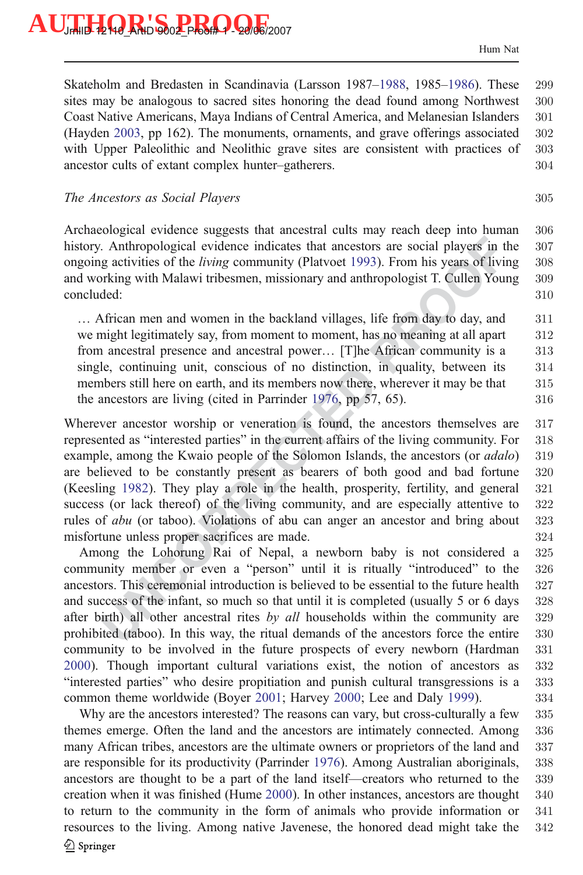Skateholm and Bredasten in Scandinavia (Larsson 1987–[1988,](#page-20-0) 1985–[1986\)](#page-20-0). These 299 sites may be analogous to sacred sites honoring the dead found among Northwest 300 Coast Native Americans, Maya Indians of Central America, and Melanesian Islanders 301 (Hayden [2003](#page-20-0), pp 162). The monuments, ornaments, and grave offerings associated 302 with Upper Paleolithic and Neolithic grave sites are consistent with practices of 303 ancestor cults of extant complex hunter–gatherers. 304

#### The Ancestors as Social Players 305

Archaeological evidence suggests that ancestral cults may reach deep into human 306 history. Anthropological evidence indicates that ancestors are social players in the 307 ongoing activities of the *living* community (Platvoet [1993](#page-21-0)). From his years of living 308 and working with Malawi tribesmen, missionary and anthropologist T. Cullen Young 309 concluded: 310

… African men and women in the backland villages, life from day to day, and 311 we might legitimately say, from moment to moment, has no meaning at all apart  $312$ from ancestral presence and ancestral power… [T]he African community is a 313 single, continuing unit, conscious of no distinction, in quality, between its 314 members still here on earth, and its members now there, wherever it may be that 315 the ancestors are living (cited in Parrinder 1976, pp 57, 65). 316

. Anthropological evidence indicates that ancestors are social players in the gracivities of the *living* community (Platvoet 1993). From his years of living a gracivities of the *living* community (Platvoet 1993). From h Wherever ancestor worship or veneration is found, the ancestors themselves are 317 represented as "interested parties" in the current affairs of the living community. For 318 example, among the Kwaio people of the Solomon Islands, the ancestors (or *adalo*) 319 are believed to be constantly present as bearers of both good and bad fortune 320 (Keesling 1982). They play a role in the health, prosperity, fertility, and general 321 success (or lack thereof) of the living community, and are especially attentive to 322 rules of abu (or taboo). Violations of abu can anger an ancestor and bring about 323 misfortune unless proper sacrifices are made.  $324$ 

Among the Lohorung Rai of Nepal, a newborn baby is not considered a 325 community member or even a "person" until it is ritually "introduced" to the 326 ancestors. This ceremonial introduction is believed to be essential to the future health 327 and success of the infant, so much so that until it is completed (usually 5 or 6 days 328 after birth) all other ancestral rites by all households within the community are  $329$ prohibited (taboo). In this way, the ritual demands of the ancestors force the entire 330 community to be involved in the future prospects of every newborn (Hardman 331 [2000](#page-19-0)). Though important cultural variations exist, the notion of ancestors as 332 "interested parties" who desire propitiation and punish cultural transgressions is a 333 common theme worldwide (Boyer [2001](#page-18-0); Harvey [2000](#page-20-0); Lee and Daly [1999\)](#page-20-0). 334

Why are the ancestors interested? The reasons can vary, but cross-culturally a few 335 themes emerge. Often the land and the ancestors are intimately connected. Among 336 many African tribes, ancestors are the ultimate owners or proprietors of the land and 337 are responsible for its productivity (Parrinder [1976](#page-21-0)). Among Australian aboriginals, 338 ancestors are thought to be a part of the land itself—creators who returned to the 339 creation when it was finished (Hume [2000\)](#page-20-0). In other instances, ancestors are thought 340 to return to the community in the form of animals who provide information or 341 resources to the living. Among native Javenese, the honored dead might take the 342  $\textcircled{2}$  Springer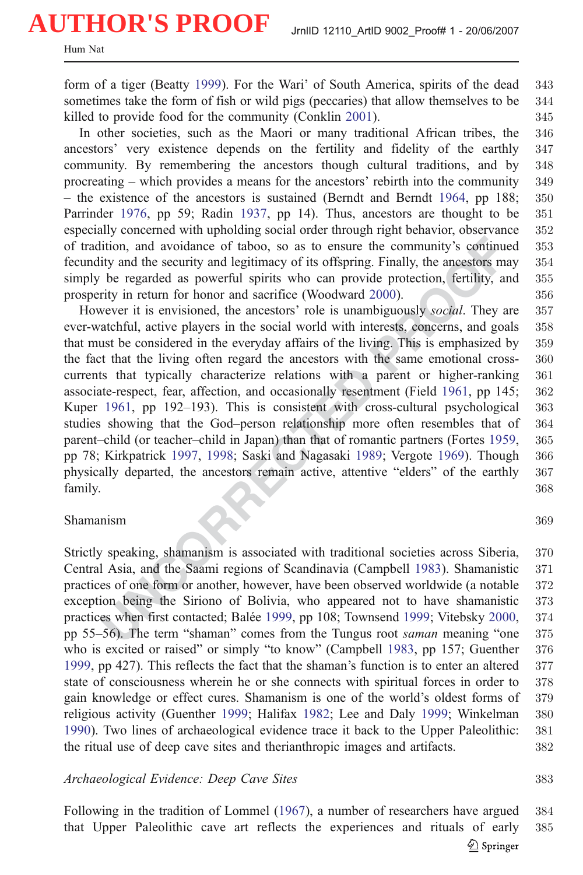Hum Nat

form of a tiger (Beatty [1999](#page-18-0)). For the Wari' of South America, spirits of the dead 343 sometimes take the form of fish or wild pigs (peccaries) that allow themselves to be 344 killed to provide food for the community (Conklin [2001](#page-18-0)).  $345$ 

In other societies, such as the Maori or many traditional African tribes, the 346 ancestors' very existence depends on the fertility and fidelity of the earthly 347 community. By remembering the ancestors though cultural traditions, and by 348 procreating – which provides a means for the ancestors' rebirth into the community 349 – the existence of the ancestors is sustained (Berndt and Berndt [1964](#page-18-0), pp 188; 350 Parrinder [1976,](#page-21-0) pp 59; Radin [1937,](#page-21-0) pp 14). Thus, ancestors are thought to be 351 especially concerned with upholding social order through right behavior, observance 352 of tradition, and avoidance of taboo, so as to ensure the community's continued 353 fecundity and the security and legitimacy of its offspring. Finally, the ancestors may 354 simply be regarded as powerful spirits who can provide protection, fertility, and 355 prosperity in return for honor and sacrifice (Woodward 2000). 356

ition, and avoidance of taboo, so as to ensure the community's continuatiy and the security and legitimacy of its offspring. Finally, the ancestors may be regarded as powerful spirits who can provide protection, fertility, However it is envisioned, the ancestors' role is unambiguously *social*. They are 357 ever-watchful, active players in the social world with interests, concerns, and goals 358 that must be considered in the everyday affairs of the living. This is emphasized by 359 the fact that the living often regard the ancestors with the same emotional cross- 360 currents that typically characterize relations with a parent or higher-ranking 361 associate-respect, fear, affection, and occasionally resentment (Field [1961](#page-19-0), pp 145; 362 Kuper 1961, pp 192–193). This is consistent with cross-cultural psychological 363 studies showing that the God–person relationship more often resembles that of 364 parent–child (or teacher–child in Japan) than that of romantic partners (Fortes [1959](#page-19-0), 365 pp 78; Kirkpatrick 1997, 1998; Saski and Nagasaki [1989](#page-22-0); Vergote [1969](#page-22-0)). Though 366 physically departed, the ancestors remain active, attentive "elders" of the earthly 367 family. 368

#### Shamanism 369

Strictly speaking, shamanism is associated with traditional societies across Siberia, 370 Central Asia, and the Saami regions of Scandinavia (Campbell [1983](#page-18-0)). Shamanistic 371 practices of one form or another, however, have been observed worldwide (a notable 372 exception being the Siriono of Bolivia, who appeared not to have shamanistic 373 practices when first contacted; Balée 1999, pp 108; Townsend [1999;](#page-22-0) Vitebsky [2000](#page-22-0), 374 pp 55–56). The term "shaman" comes from the Tungus root *saman* meaning "one 375 who is excited or raised" or simply "to know" (Campbell [1983,](#page-18-0) pp 157; Guenther 376 [1999](#page-19-0), pp 427). This reflects the fact that the shaman's function is to enter an altered 377 state of consciousness wherein he or she connects with spiritual forces in order to 378 gain knowledge or effect cures. Shamanism is one of the world's oldest forms of 379 religious activity (Guenther [1999;](#page-19-0) Halifax [1982](#page-19-0); Lee and Daly [1999;](#page-20-0) Winkelman 380 [1990](#page-22-0)). Two lines of archaeological evidence trace it back to the Upper Paleolithic: 381 the ritual use of deep cave sites and therianthropic images and artifacts. 382

#### Archaeological Evidence: Deep Cave Sites 383

Following in the tradition of Lommel [\(1967](#page-21-0)), a number of researchers have argued 384 that Upper Paleolithic cave art reflects the experiences and rituals of early 385  $\textcircled{2}$  Springer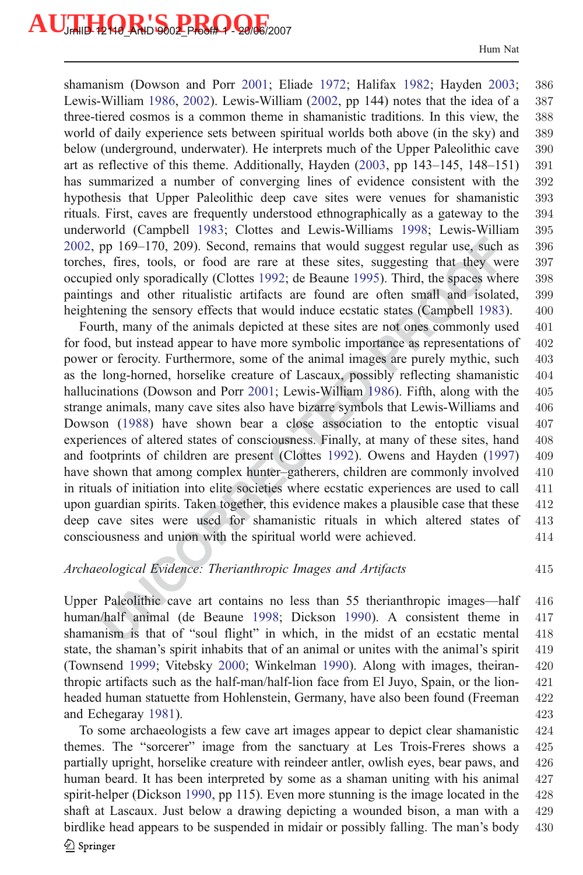shamanism (Dowson and Porr [2001](#page-19-0); Eliade [1972;](#page-19-0) Halifax [1982;](#page-19-0) Hayden [2003;](#page-20-0) 386 Lewis-William [1986,](#page-21-0) [2002\)](#page-21-0). Lewis-William ([2002,](#page-21-0) pp 144) notes that the idea of a 387 three-tiered cosmos is a common theme in shamanistic traditions. In this view, the 388 world of daily experience sets between spiritual worlds both above (in the sky) and 389 below (underground, underwater). He interprets much of the Upper Paleolithic cave 390 art as reflective of this theme. Additionally, Hayden [\(2003](#page-20-0), pp 143–145, 148–151) 391 has summarized a number of converging lines of evidence consistent with the 392 hypothesis that Upper Paleolithic deep cave sites were venues for shamanistic 393 rituals. First, caves are frequently understood ethnographically as a gateway to the 394 underworld (Campbell [1983](#page-18-0); Clottes and Lewis-Williams [1998;](#page-18-0) Lewis-William 395 [2002](#page-21-0), pp 169–170, 209). Second, remains that would suggest regular use, such as 396 torches, fires, tools, or food are rare at these sites, suggesting that they were 397 occupied only sporadically (Clottes [1992](#page-18-0); de Beaune [1995](#page-19-0)). Third, the spaces where 398 paintings and other ritualistic artifacts are found are often small and isolated, 399 heightening the sensory effects that would induce ecstatic states (Campbell 1983). 400

pp 169–170, 209). Second, remains that would suggest regular use, such, fires, tools, or food are rare at these sites, suggesting that they we delonly spondaically (Clottes 1992; de Beaune 1995). [T](#page-18-0)hird, the spaces whe gs a Fourth, many of the animals depicted at these sites are not ones commonly used 401 for food, but instead appear to have more symbolic importance as representations of 402 power or ferocity. Furthermore, some of the animal images are purely mythic, such 403 as the long-horned, horselike creature of Lascaux, possibly reflecting shamanistic 404 hallucinations (Dowson and Porr 2001; Lewis-William [1986](#page-21-0)). Fifth, along with the 405 strange animals, many cave sites also have bizarre symbols that Lewis-Williams and 406 Dowson (1988) have shown bear a close association to the entoptic visual 407 experiences of altered states of consciousness. Finally, at many of these sites, hand 408 and footprints of children are present (Clottes 1992). Owens and Hayden [\(1997](#page-21-0)) 409 have shown that among complex hunter–gatherers, children are commonly involved 410 in rituals of initiation into elite societies where ecstatic experiences are used to call 411 upon guardian spirits. Taken together, this evidence makes a plausible case that these 412 deep cave sites were used for shamanistic rituals in which altered states of 413 consciousness and union with the spiritual world were achieved. 414

#### Archaeological Evidence: Therianthropic Images and Artifacts 415

Upper Paleolithic cave art contains no less than 55 therianthropic images—half 416 human/half animal (de Beaune 1998; Dickson 1990). A consistent theme in 417 shamanism is that of "soul flight" in which, in the midst of an ecstatic mental 418 state, the shaman's spirit inhabits that of an animal or unites with the animal's spirit 419 (Townsend [1999](#page-22-0); Vitebsky [2000;](#page-22-0) Winkelman [1990\)](#page-22-0). Along with images, theiran- 420 thropic artifacts such as the half-man/half-lion face from El Juyo, Spain, or the lion- 421 headed human statuette from Hohlenstein, Germany, have also been found (Freeman 422 and Echegaray [1981\)](#page-19-0). 423

To some archaeologists a few cave art images appear to depict clear shamanistic 424 themes. The "sorcerer" image from the sanctuary at Les Trois-Freres shows a 425 partially upright, horselike creature with reindeer antler, owlish eyes, bear paws, and 426 human beard. It has been interpreted by some as a shaman uniting with his animal 427 spirit-helper (Dickson [1990,](#page-19-0) pp 115). Even more stunning is the image located in the 428 shaft at Lascaux. Just below a drawing depicting a wounded bison, a man with a 429 birdlike head appears to be suspended in midair or possibly falling. The man's body 430  $\textcircled{2}$  Springer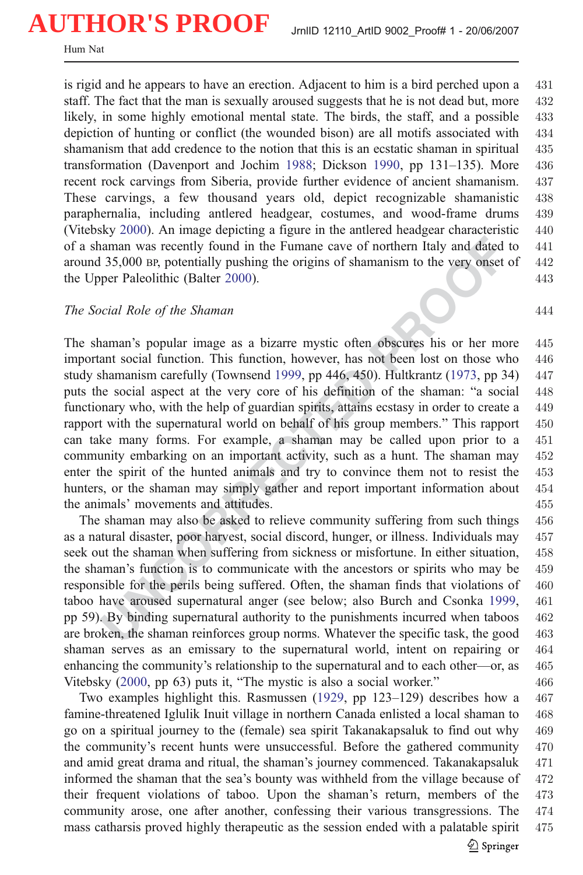Hum Nat

is rigid and he appears to have an erection. Adjacent to him is a bird perched upon a 431 staff. The fact that the man is sexually aroused suggests that he is not dead but, more 432 likely, in some highly emotional mental state. The birds, the staff, and a possible 433 depiction of hunting or conflict (the wounded bison) are all motifs associated with 434 shamanism that add credence to the notion that this is an ecstatic shaman in spiritual 435 transformation (Davenport and Jochim [1988;](#page-19-0) Dickson [1990](#page-19-0), pp 131–135). More 436 recent rock carvings from Siberia, provide further evidence of ancient shamanism. 437 These carvings, a few thousand years old, depict recognizable shamanistic 438 paraphernalia, including antlered headgear, costumes, and wood-frame drums 439 (Vitebsky [2000\)](#page-22-0). An image depicting a figure in the antlered headgear characteristic 440 of a shaman was recently found in the Fumane cave of northern Italy and dated to 441 around 35,000 BP, potentially pushing the origins of shamanism to the very onset of  $442$ the Upper Paleolithic (Balter [2000\)](#page-18-0). 443

#### The Social Role of the Shaman 444

annan was recently found in the Fumane cave of northern Italy and dated 35,000 BP, potentially pushing the origins of shamanism to the very onset per Paleolithic (Balter 2000).<br>
Cial Role of the Shaman<br>
naman's popular ima The shaman's popular image as a bizarre mystic often obscures his or her more 445 important social function. This function, however, has not been lost on those who 446 study shamanism carefully (Townsend 1999, pp 446, 450). Hultkrantz [\(1973](#page-20-0), pp 34) 447 puts the social aspect at the very core of his definition of the shaman: "a social 448 functionary who, with the help of guardian spirits, attains ecstasy in order to create a 449 rapport with the supernatural world on behalf of his group members." This rapport 450 can take many forms. For example, a shaman may be called upon prior to a 451 community embarking on an important activity, such as a hunt. The shaman may 452 enter the spirit of the hunted animals and try to convince them not to resist the 453 hunters, or the shaman may simply gather and report important information about 454 the animals' movements and attitudes. 455

The shaman may also be asked to relieve community suffering from such things 456 as a natural disaster, poor harvest, social discord, hunger, or illness. Individuals may 457 seek out the shaman when suffering from sickness or misfortune. In either situation, 458 the shaman's function is to communicate with the ancestors or spirits who may be 459 responsible for the perils being suffered. Often, the shaman finds that violations of 460 taboo have aroused supernatural anger (see below; also Burch and Csonka [1999](#page-18-0), 461 pp 59). By binding supernatural authority to the punishments incurred when taboos 462 are broken, the shaman reinforces group norms. Whatever the specific task, the good 463 shaman serves as an emissary to the supernatural world, intent on repairing or 464 enhancing the community's relationship to the supernatural and to each other—or, as 465 Vitebsky [\(2000](#page-22-0), pp 63) puts it, "The mystic is also a social worker." 466

Two examples highlight this. Rasmussen ([1929,](#page-21-0) pp 123–129) describes how a 467 famine-threatened Iglulik Inuit village in northern Canada enlisted a local shaman to 468 go on a spiritual journey to the (female) sea spirit Takanakapsaluk to find out why 469 the community's recent hunts were unsuccessful. Before the gathered community 470 and amid great drama and ritual, the shaman's journey commenced. Takanakapsaluk 471 informed the shaman that the sea's bounty was withheld from the village because of 472 their frequent violations of taboo. Upon the shaman's return, members of the 473 community arose, one after another, confessing their various transgressions. The 474 mass catharsis proved highly therapeutic as the session ended with a palatable spirit 475

2 Springer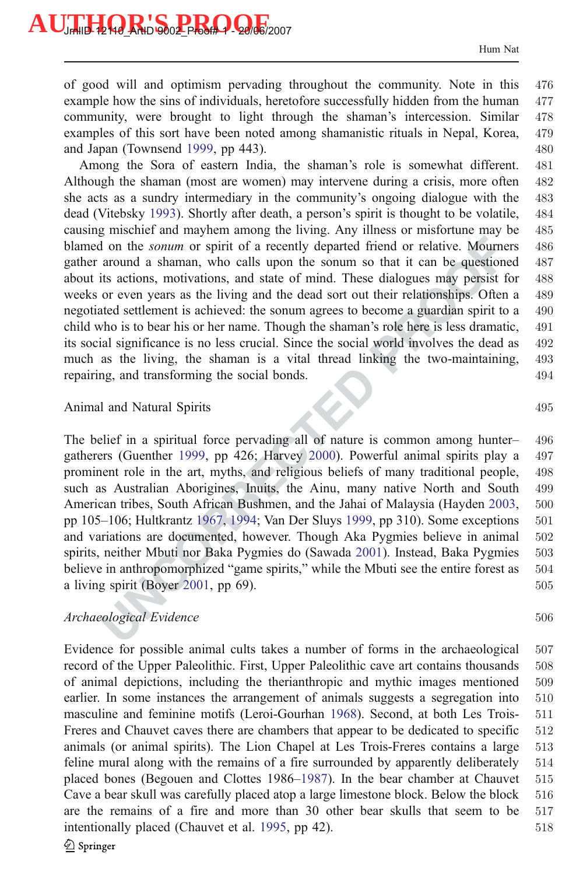of good will and optimism pervading throughout the community. Note in this 476 example how the sins of individuals, heretofore successfully hidden from the human 477 community, were brought to light through the shaman's intercession. Similar 478 examples of this sort have been noted among shamanistic rituals in Nepal, Korea, 479 and Japan (Townsend [1999](#page-22-0), pp 443). 480

Among the Sora of eastern India, the shaman's role is somewhat different. 481 Although the shaman (most are women) may intervene during a crisis, more often 482 she acts as a sundry intermediary in the community's ongoing dialogue with the 483 dead (Vitebsky [1993\)](#page-22-0). Shortly after death, a person's spirit is thought to be volatile, 484 causing mischief and mayhem among the living. Any illness or misfortune may be 485 blamed on the *sonum* or spirit of a recently departed friend or relative. Mourners 486 gather around a shaman, who calls upon the sonum so that it can be questioned 487 about its actions, motivations, and state of mind. These dialogues may persist for 488 weeks or even years as the living and the dead sort out their relationships. Often a 489 negotiated settlement is achieved: the sonum agrees to become a guardian spirit to a 490 child who is to bear his or her name. Though the shaman's role here is less dramatic, 491 its social significance is no less crucial. Since the social world involves the dead as 492 much as the living, the shaman is a vital thread linking the two-maintaining, 493 repairing, and transforming the social bonds. 494

#### Animal and Natural Spirits 495

I on the *sonum* or spirit of a recently departed friend or relative. Mourne around a shaman, who calls upon the sonum so that it can be questions at set one, motivations, and state of mind. These dialogues may persist fo The belief in a spiritual force pervading all of nature is common among hunter– 496 gatherers (Guenther 1999, pp 426; Harvey 2000). Powerful animal spirits play a 497 prominent role in the art, myths, and religious beliefs of many traditional people, 498 such as Australian Aborigines, Inuits, the Ainu, many native North and South 499 American tribes, South African Bushmen, and the Jahai of Malaysia (Hayden [2003](#page-20-0), 500 pp 105–106; Hultkrantz 1967, 1994; Van Der Sluys 1999, pp 310). Some exceptions 501 and variations are documented, however. Though Aka Pygmies believe in animal 502 spirits, neither Mbuti nor Baka Pygmies do (Sawada [2001\)](#page-22-0). Instead, Baka Pygmies 503 believe in anthropomorphized "game spirits," while the Mbuti see the entire forest as 504 a living spirit (Boyer 2001, pp 69).  $505$ 

#### Archaeological Evidence 506

Evidence for possible animal cults takes a number of forms in the archaeological 507 record of the Upper Paleolithic. First, Upper Paleolithic cave art contains thousands 508 of animal depictions, including the therianthropic and mythic images mentioned 509 earlier. In some instances the arrangement of animals suggests a segregation into 510 masculine and feminine motifs (Leroi-Gourhan [1968](#page-20-0)). Second, at both Les Trois- 511 Freres and Chauvet caves there are chambers that appear to be dedicated to specific 512 animals (or animal spirits). The Lion Chapel at Les Trois-Freres contains a large 513 feline mural along with the remains of a fire surrounded by apparently deliberately 514 placed bones (Begouen and Clottes 1986–[1987\)](#page-18-0). In the bear chamber at Chauvet 515 Cave a bear skull was carefully placed atop a large limestone block. Below the block 516 are the remains of a fire and more than 30 other bear skulls that seem to be 517 intentionally placed (Chauvet et al. [1995](#page-18-0), pp 42). 518

 $\textcircled{2}$  Springer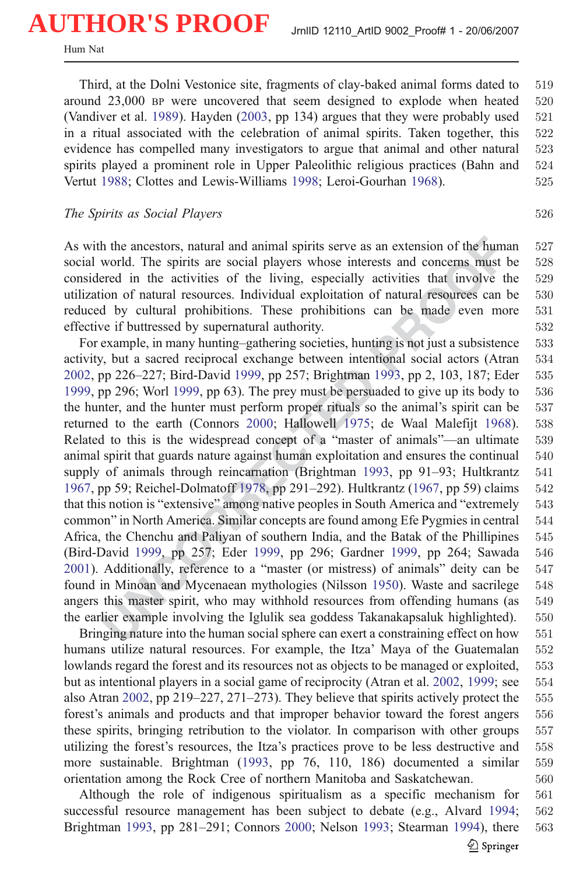Hum Nat

JrnlID 12110\_ArtID 9002\_Proof# 1 - 20/06/2007

Third, at the Dolni Vestonice site, fragments of clay-baked animal forms dated to 519 around 23,000 BP were uncovered that seem designed to explode when heated 520 (Vandiver et al. [1989](#page-22-0)). Hayden ([2003,](#page-20-0) pp 134) argues that they were probably used 521 in a ritual associated with the celebration of animal spirits. Taken together, this 522 evidence has compelled many investigators to argue that animal and other natural 523 spirits played a prominent role in Upper Paleolithic religious practices (Bahn and 524 Vertut [1988;](#page-17-0) Clottes and Lewis-Williams [1998;](#page-18-0) Leroi-Gourhan [1968](#page-20-0)). 525

#### The Spirits as Social Players 526 and the Spirits as Social Players 526

As with the ancestors, natural and animal spirits serve as an extension of the human 527 social world. The spirits are social players whose interests and concerns must be 528 considered in the activities of the living, especially activities that involve the 529 utilization of natural resources. Individual exploitation of natural resources can be 530 reduced by cultural prohibitions. These prohibitions can be made even more 531 effective if buttressed by supernatural authority.  $532$ 

h the ancestors, natural and animal spirits serve as an extension of the hums<br>world. The spirits are social players whose interests and concerns must l<br>ered in the activities of the living, especially activities that invol For example, in many hunting–gathering societies, hunting is not just a subsistence 533 activity, but a sacred reciprocal exchange between intentional social actors (Atran 534 [2002](#page-17-0), pp 226–227; Bird-David 1999, pp 257; Brightman [1993](#page-18-0), pp 2, 103, 187; Eder 535 [1999](#page-19-0), pp 296; Worl 1999, pp 63). The prey must be persuaded to give up its body to 536 the hunter, and the hunter must perform proper rituals so the animal's spirit can be 537 returned to the earth (Connors 2000; Hallowell 1975; de Waal Malefijt [1968\)](#page-22-0). 538 Related to this is the widespread concept of a "master of animals"—an ultimate 539 animal spirit that guards nature against human exploitation and ensures the continual 540 supply of animals through reincarnation (Brightman [1993,](#page-18-0) pp 91–93; Hultkrantz 541 [1967](#page-20-0), pp 59; Reichel-Dolmatoff 1978, pp 291–292). Hultkrantz ([1967,](#page-20-0) pp 59) claims 542 that this notion is "extensive" among native peoples in South America and "extremely 543 common" in North America. Similar concepts are found among Efe Pygmies in central 544 Africa, the Chenchu and Paliyan of southern India, and the Batak of the Phillipines 545 (Bird-David 1999, pp 257; Eder 1999, pp 296; Gardner [1999](#page-19-0), pp 264; Sawada 546 [2001](#page-22-0)). Additionally, reference to a "master (or mistress) of animals" deity can be 547 found in Minoan and Mycenaean mythologies (Nilsson [1950](#page-21-0)). Waste and sacrilege 548 angers this master spirit, who may withhold resources from offending humans (as 549 the earlier example involving the Iglulik sea goddess Takanakapsaluk highlighted). 550

Bringing nature into the human social sphere can exert a constraining effect on how 551 humans utilize natural resources. For example, the Itza' Maya of the Guatemalan 552 lowlands regard the forest and its resources not as objects to be managed or exploited, 553 but as intentional players in a social game of reciprocity (Atran et al. [2002,](#page-17-0) [1999](#page-17-0); see 554 also Atran [2002,](#page-17-0) pp 219–227, 271–273). They believe that spirits actively protect the 555 forest's animals and products and that improper behavior toward the forest angers 556 these spirits, bringing retribution to the violator. In comparison with other groups 557 utilizing the forest's resources, the Itza's practices prove to be less destructive and 558 more sustainable. Brightman [\(1993](#page-18-0), pp 76, 110, 186) documented a similar 559 orientation among the Rock Cree of northern Manitoba and Saskatchewan. 560

Although the role of indigenous spiritualism as a specific mechanism for 561 successful resource management has been subject to debate (e.g., Alvard [1994;](#page-17-0) 562 Brightman [1993](#page-18-0), pp 281–291; Connors [2000](#page-18-0); Nelson [1993;](#page-21-0) Stearman [1994\)](#page-22-0), there 563

2 Springer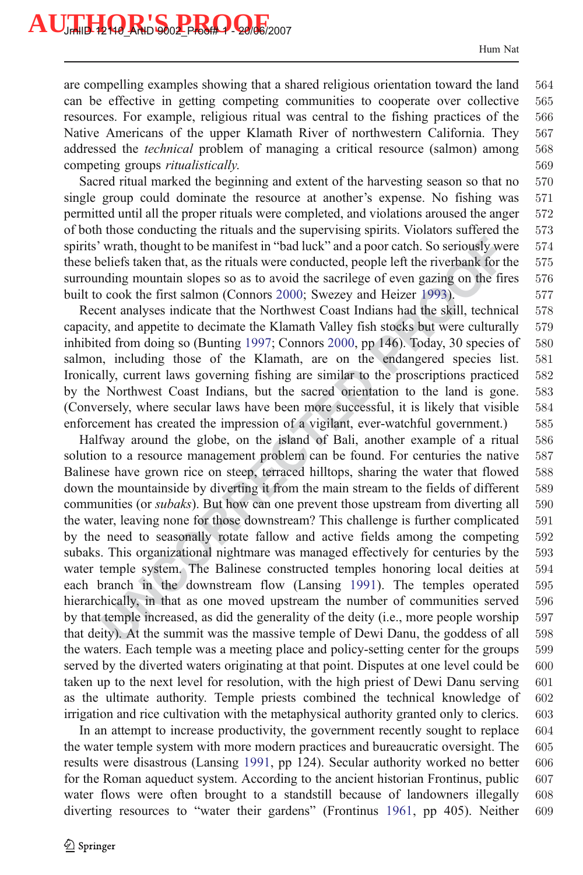are compelling examples showing that a shared religious orientation toward the land 564 can be effective in getting competing communities to cooperate over collective 565 resources. For example, religious ritual was central to the fishing practices of the 566 Native Americans of the upper Klamath River of northwestern California. They 567 addressed the technical problem of managing a critical resource (salmon) among 568 competing groups *ritualistically*.  $569$ 

Sacred ritual marked the beginning and extent of the harvesting season so that no 570 single group could dominate the resource at another's expense. No fishing was 571 permitted until all the proper rituals were completed, and violations aroused the anger 572 of both those conducting the rituals and the supervising spirits. Violators suffered the 573 spirits' wrath, thought to be manifest in "bad luck" and a poor catch. So seriously were 574 these beliefs taken that, as the rituals were conducted, people left the riverbank for the 575 surrounding mountain slopes so as to avoid the sacrilege of even gazing on the fires 576 built to cook the first salmon (Connors [2000;](#page-18-0) Swezey and Heizer 1993).  $\sim$  577

Recent analyses indicate that the Northwest Coast Indians had the skill, technical 578 capacity, and appetite to decimate the Klamath Valley fish stocks but were culturally 579 inhibited from doing so (Bunting [1997](#page-18-0); Connors [2000,](#page-18-0) pp 146). Today, 30 species of 580 salmon, including those of the Klamath, are on the endangered species list. 581 Ironically, current laws governing fishing are similar to the proscriptions practiced 582 by the Northwest Coast Indians, but the sacred orientation to the land is gone. 583 (Conversely, where secular laws have been more successful, it is likely that visible 584 enforcement has created the impression of a vigilant, ever-watchful government.) 585

wrath, thought to be manifest in "bad luck" and a poor catch. So seriously we<br>deliefs taken that, as the rituals were conducted, people left the riverbank for the<br>diding mountain slopes so as to avoid the sarellege of eve Halfway around the globe, on the island of Bali, another example of a ritual 586 solution to a resource management problem can be found. For centuries the native 587 Balinese have grown rice on steep, terraced hilltops, sharing the water that flowed 588 down the mountainside by diverting it from the main stream to the fields of different 589 communities (or *subaks*). But how can one prevent those upstream from diverting all 590 the water, leaving none for those downstream? This challenge is further complicated 591 by the need to seasonally rotate fallow and active fields among the competing 592 subaks. This organizational nightmare was managed effectively for centuries by the 593 water temple system. The Balinese constructed temples honoring local deities at 594 each branch in the downstream flow (Lansing 1991). The temples operated 595 hierarchically, in that as one moved upstream the number of communities served 596 by that temple increased, as did the generality of the deity (i.e., more people worship 597 that deity). At the summit was the massive temple of Dewi Danu, the goddess of all 598 the waters. Each temple was a meeting place and policy-setting center for the groups 599 served by the diverted waters originating at that point. Disputes at one level could be 600 taken up to the next level for resolution, with the high priest of Dewi Danu serving 601 as the ultimate authority. Temple priests combined the technical knowledge of 602 irrigation and rice cultivation with the metaphysical authority granted only to clerics. 603

In an attempt to increase productivity, the government recently sought to replace 604 the water temple system with more modern practices and bureaucratic oversight. The 605 results were disastrous (Lansing [1991](#page-20-0), pp 124). Secular authority worked no better 606 for the Roman aqueduct system. According to the ancient historian Frontinus, public 607 water flows were often brought to a standstill because of landowners illegally 608 diverting resources to "water their gardens" (Frontinus [1961,](#page-19-0) pp 405). Neither 609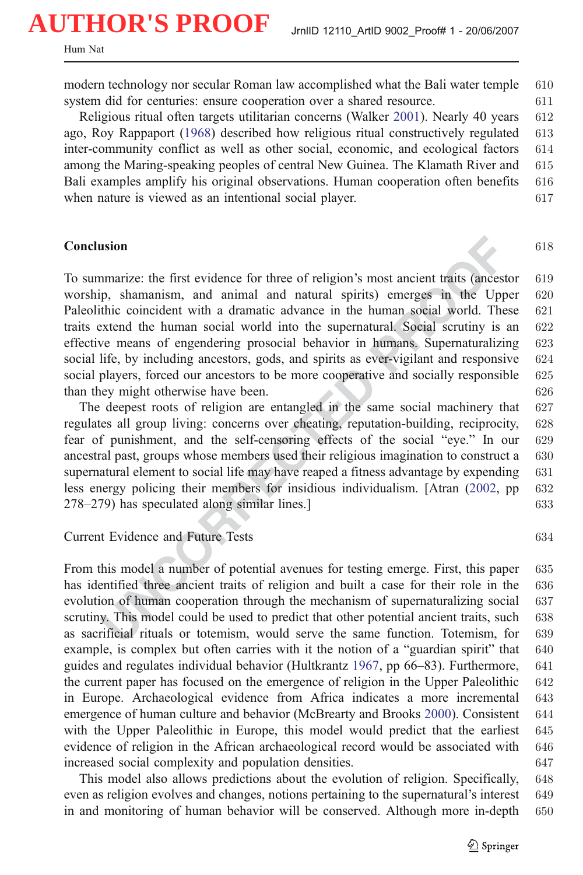Hum Nat

modern technology nor secular Roman law accomplished what the Bali water temple 610 system did for centuries: ensure cooperation over a shared resource. 611

Religious ritual often targets utilitarian concerns (Walker [2001](#page-22-0)). Nearly 40 years 612 ago, Roy Rappaport [\(1968](#page-21-0)) described how religious ritual constructively regulated 613 inter-community conflict as well as other social, economic, and ecological factors 614 among the Maring-speaking peoples of central New Guinea. The Klamath River and 615 Bali examples amplify his original observations. Human cooperation often benefits 616 when nature is viewed as an intentional social player. 617

#### **Conclusion** 618

**Example 15**<br> **Example 15**<br> **Example 16**<br> **Example 16**<br> **Example 16**<br> **Example 16**<br> **Example 16**<br> **Example 16**<br> **Example 16**<br> **Example 16**<br> **Example 16**<br> **Example 16**<br> **Example 16**<br> **Example 16**<br> **Example 16**<br> **Example 16** To summarize: the first evidence for three of religion's most ancient traits (ancestor 619 worship, shamanism, and animal and natural spirits) emerges in the Upper 620 Paleolithic coincident with a dramatic advance in the human social world. These 621 traits extend the human social world into the supernatural. Social scrutiny is an 622 effective means of engendering prosocial behavior in humans. Supernaturalizing 623 social life, by including ancestors, gods, and spirits as ever-vigilant and responsive 624 social players, forced our ancestors to be more cooperative and socially responsible 625 than they might otherwise have been. 626

The deepest roots of religion are entangled in the same social machinery that 627 regulates all group living: concerns over cheating, reputation-building, reciprocity, 628 fear of punishment, and the self-censoring effects of the social "eye." In our 629 ancestral past, groups whose members used their religious imagination to construct a 630 supernatural element to social life may have reaped a fitness advantage by expending 631 less energy policing their members for insidious individualism. [Atran ([2002,](#page-17-0) pp 632 278–279) has speculated along similar lines.] 633

Current Evidence and Future Tests 634

From this model a number of potential avenues for testing emerge. First, this paper 635 has identified three ancient traits of religion and built a case for their role in the 636 evolution of human cooperation through the mechanism of supernaturalizing social 637 scrutiny. This model could be used to predict that other potential ancient traits, such 638 as sacrificial rituals or totemism, would serve the same function. Totemism, for 639 example, is complex but often carries with it the notion of a "guardian spirit" that 640 guides and regulates individual behavior (Hultkrantz [1967,](#page-20-0) pp 66–83). Furthermore, 641 the current paper has focused on the emergence of religion in the Upper Paleolithic 642 in Europe. Archaeological evidence from Africa indicates a more incremental 643 emergence of human culture and behavior (McBrearty and Brooks [2000](#page-21-0)). Consistent 644 with the Upper Paleolithic in Europe, this model would predict that the earliest 645 evidence of religion in the African archaeological record would be associated with 646 increased social complexity and population densities. 647

This model also allows predictions about the evolution of religion. Specifically, 648 even as religion evolves and changes, notions pertaining to the supernatural's interest 649 in and monitoring of human behavior will be conserved. Although more in-depth 650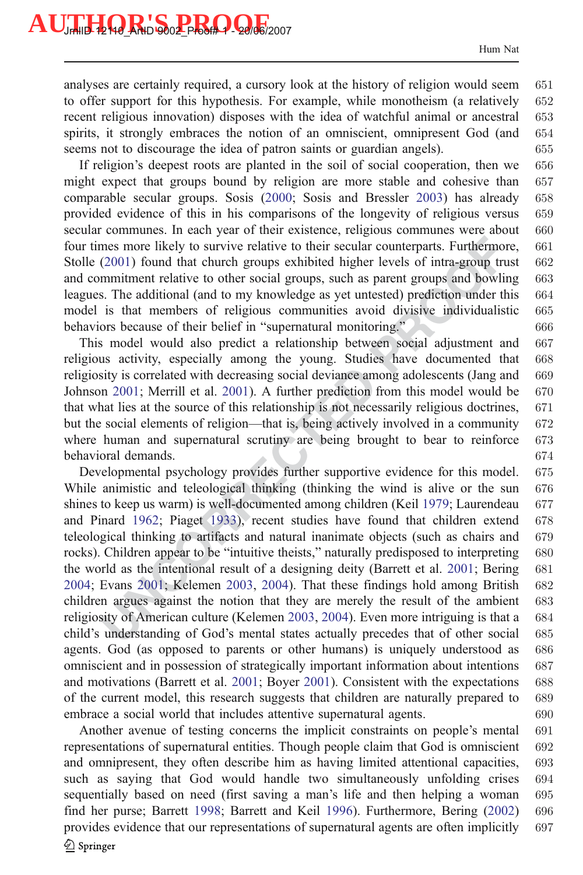analyses are certainly required, a cursory look at the history of religion would seem 651 to offer support for this hypothesis. For example, while monotheism (a relatively 652 recent religious innovation) disposes with the idea of watchful animal or ancestral 653 spirits, it strongly embraces the notion of an omniscient, omnipresent God (and 654 seems not to discourage the idea of patron saints or guardian angels). 655

If religion's deepest roots are planted in the soil of social cooperation, then we 656 might expect that groups bound by religion are more stable and cohesive than 657 comparable secular groups. Sosis ([2000;](#page-22-0) Sosis and Bressler [2003](#page-22-0)) has already 658 provided evidence of this in his comparisons of the longevity of religious versus 659 secular communes. In each year of their existence, religious communes were about 660 four times more likely to survive relative to their secular counterparts. Furthermore, 661 Stolle [\(2001](#page-22-0)) found that church groups exhibited higher levels of intra-group trust 662 and commitment relative to other social groups, such as parent groups and bowling 663 leagues. The additional (and to my knowledge as yet untested) prediction under this 664 model is that members of religious communities avoid divisive individualistic 665 behaviors because of their belief in "supernatural monitoring." 666

This model would also predict a relationship between social adjustment and 667 religious activity, especially among the young. Studies have documented that 668 religiosity is correlated with decreasing social deviance among adolescents (Jang and 669 Johnson 2001; Merrill et al. 2001). A further prediction from this model would be 670 that what lies at the source of this relationship is not necessarily religious doctrines, 671 but the social elements of religion—that is, being actively involved in a community 672 where human and supernatural scrutiny are being brought to bear to reinforce 673 behavioral demands. 674

mes more likely to survive relative to their secular counterparts. Furthermot (2001) found that church groups exhibited higher levels of intra-group ture minimum trelative to other social groups, such as parent groups and Developmental psychology provides further supportive evidence for this model. 675 While animistic and teleological thinking (thinking the wind is alive or the sun 676 shines to keep us warm) is well-documented among children (Keil [1979;](#page-20-0) Laurendeau 677 and Pinard 1962; Piaget 1933), recent studies have found that children extend 678 teleological thinking to artifacts and natural inanimate objects (such as chairs and 679 rocks). Children appear to be "intuitive theists," naturally predisposed to interpreting 680 the world as the intentional result of a designing deity (Barrett et al. [2001](#page-18-0); Bering 681 [2004](#page-18-0); Evans 2001; Kelemen 2003, 2004). That these findings hold among British 682 children argues against the notion that they are merely the result of the ambient 683 religiosity of American culture (Kelemen 2003, 2004). Even more intriguing is that a 684 child's understanding of God's mental states actually precedes that of other social 685 agents. God (as opposed to parents or other humans) is uniquely understood as 686 omniscient and in possession of strategically important information about intentions 687 and motivations (Barrett et al. [2001;](#page-18-0) Boyer [2001](#page-18-0)). Consistent with the expectations 688 of the current model, this research suggests that children are naturally prepared to 689 embrace a social world that includes attentive supernatural agents. 690

Another avenue of testing concerns the implicit constraints on people's mental 691 representations of supernatural entities. Though people claim that God is omniscient 692 and omnipresent, they often describe him as having limited attentional capacities, 693 such as saying that God would handle two simultaneously unfolding crises 694 sequentially based on need (first saving a man's life and then helping a woman 695 find her purse; Barrett [1998;](#page-18-0) Barrett and Keil [1996](#page-18-0)). Furthermore, Bering [\(2002](#page-18-0)) 696 provides evidence that our representations of supernatural agents are often implicitly 697  $\textcircled{2}$  Springer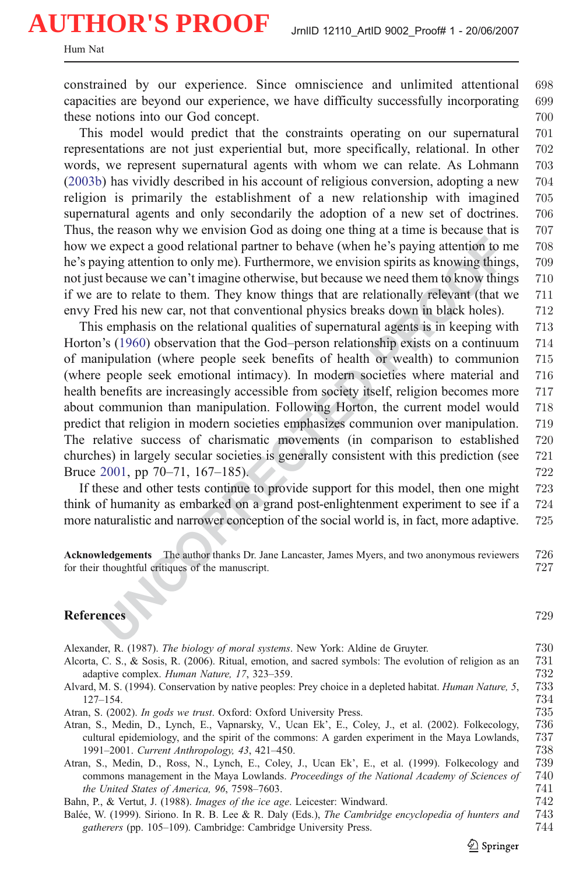<span id="page-17-0"></span>Hum Nat

constrained by our experience. Since omniscience and unlimited attentional 698 capacities are beyond our experience, we have difficulty successfully incorporating 699 these notions into our God concept. 700

This model would predict that the constraints operating on our supernatural 701 representations are not just experiential but, more specifically, relational. In other 702 words, we represent supernatural agents with whom we can relate. As Lohmann 703 ([2003b\)](#page-21-0) has vividly described in his account of religious conversion, adopting a new 704 religion is primarily the establishment of a new relationship with imagined 705 supernatural agents and only secondarily the adoption of a new set of doctrines. 706 Thus, the reason why we envision God as doing one thing at a time is because that is 707 how we expect a good relational partner to behave (when he's paying attention to me 708 he's paying attention to only me). Furthermore, we envision spirits as knowing things, 709 not just because we can't imagine otherwise, but because we need them to know things 710 if we are to relate to them. They know things that are relationally relevant (that we 711 envy Fred his new car, not that conventional physics breaks down in black holes).  $712$ 

e expect a good relational partner to behave (when he's paying attention to nying attention to only me). Furthermore, we envision spirits as knowing thing the because we not 't imagine othewise, but because we need them to This emphasis on the relational qualities of supernatural agents is in keeping with 713 Horton's [\(1960](#page-20-0)) observation that the God–person relationship exists on a continuum 714 of manipulation (where people seek benefits of health or wealth) to communion 715 (where people seek emotional intimacy). In modern societies where material and 716 health benefits are increasingly accessible from society itself, religion becomes more 717 about communion than manipulation. Following Horton, the current model would 718 predict that religion in modern societies emphasizes communion over manipulation. 719 The relative success of charismatic movements (in comparison to established 720 churches) in largely secular societies is generally consistent with this prediction (see 721 Bruce 2001, pp 70–71, 167–185). 722

If these and other tests continue to provide support for this model, then one might 723 think of humanity as embarked on a grand post-enlightenment experiment to see if a 724 more naturalistic and narrower conception of the social world is, in fact, more adaptive. 725

Acknowledgements The author thanks Dr. Jane Lancaster, James Myers, and two anonymous reviewers 726 for their thoughtful critiques of the manuscript. 727

#### References 729

| Alexander, R. (1987). The biology of moral systems. New York: Aldine de Gruyter.                                  | 730                  |
|-------------------------------------------------------------------------------------------------------------------|----------------------|
| Alcorta, C. S., & Sosis, R. (2006). Ritual, emotion, and sacred symbols: The evolution of religion as an          | 731                  |
| adaptive complex. <i>Human Nature</i> , 17, 323–359.                                                              | 732                  |
| Alvard, M. S. (1994). Conservation by native peoples: Prey choice in a depleted habitat. <i>Human Nature</i> , 5, | 733                  |
| $127 - 154$ .                                                                                                     | 734                  |
| Atran, S. (2002). <i>In gods we trust</i> . Oxford: Oxford University Press.                                      | 735                  |
| Atran, S., Medin, D., Lynch, E., Vapnarsky, V., Ucan Ek', E., Coley, J., et al. (2002). Folkecology,              | 736                  |
| cultural epidemiology, and the spirit of the commons: A garden experiment in the Maya Lowlands,                   | 737                  |
| 1991–2001. Current Anthropology, 43, 421–450.                                                                     | 738                  |
| Atran, S., Medin, D., Ross, N., Lynch, E., Coley, J., Ucan Ek', E., et al. (1999). Folkecology and                | 739                  |
| commons management in the Maya Lowlands. Proceedings of the National Academy of Sciences of                       | 740                  |
| the United States of America, 96, 7598-7603.                                                                      | 741                  |
|                                                                                                                   | $\rightarrow$ $\sim$ |

Bahn, P., & Vertut, J. (1988). *Images of the ice age*. Leicester: Windward. 742<br>Balée W (1999). Siriono Jn R. B. Lee & R. Daly (Eds.). *The Cambridge encyclopedia of hunters and* 743 Balée, W. (1999). Siriono. In R. B. Lee & R. Daly (Eds.), *The Cambridge encyclopedia of hunters and* 743 *patherers* (pp. 105–109). Cambridge: Cambridge University Press. 744 gatherers (pp. 105–109). Cambridge: Cambridge University Press.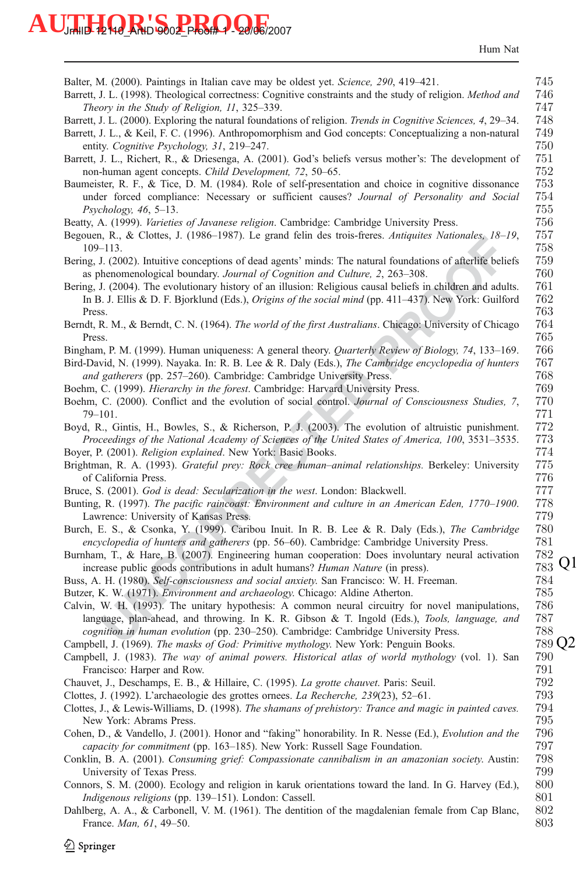Q1

<span id="page-18-0"></span>1, e., a. Colus, 3. (1960–1967): Le gianti enim des tous-rietes. Analytaes Nationales, 16-1, (2002). Intuitive conceptions of deal agents' minis. The natural foundations of deal and and analytic orientation of deal agents Balter, M. (2000). Paintings in Italian cave may be oldest yet. Science, 290, 419–421. <sup>745</sup><br>Barrett, J. L. (1998). Theological correctness: Cognitive constraints and the study of religion. *Method and* 746 Barrett, J. L. (1998). Theological correctness: Cognitive constraints and the study of religion. Method and Theory in the Study of Religion,  $11$ , 325–339.  $747$ Barrett, J. L. (2000). Exploring the natural foundations of religion. Trends in Cognitive Sciences, 4, 29–34. 748 Barrett, J. L., & Keil, F. C. (1996). Anthropomorphism and God concepts: Conceptualizing a non-natural 749 entity. Cognitive Psychology, 31, 219–247. Barrett, J. L., Richert, R., & Driesenga, A. (2001). God's beliefs versus mother's: The development of 751 non-human agent concepts. *Child Development*, 72, 50–65. 752 Baumeister, R. F., & Tice, D. M. (1984). Role of self-presentation and choice in cognitive dissonance 753 under forced compliance: Necessary or sufficient causes? Journal of Personality and Social 754  $Psychology, 46, 5–13.$  755 Beatty, A. (1999). Varieties of Javanese religion. Cambridge: Cambridge University Press. 756 Begouen, R., & Clottes, J. (1986–1987). Le grand felin des trois-freres. Antiquites Nationales, 18–19, 757 109–113. 758 Bering, J. (2002). Intuitive conceptions of dead agents' minds: The natural foundations of afterlife beliefs 759 as phenomenological boundary. Journal of Cognition and Culture, 2, 263–308.  $\sim$  760 Bering, J. (2004). The evolutionary history of an illusion: Religious causal beliefs in children and adults. 761 In B. J. Ellis & D. F. Bjorklund (Eds.), Origins of the social mind (pp. 411-437). New York: Guilford 762 Press. 763 Berndt, R. M., & Berndt, C. N. (1964). The world of the first Australians. Chicago: University of Chicago 764 Press. 765 Bingham, P. M. (1999). Human uniqueness: A general theory. Quarterly Review of Biology, 74, 133–169. 766 Bird-David, N. (1999). Nayaka. In: R. B. Lee & R. Daly (Eds.), The Cambridge encyclopedia of hunters 767 and gatherers (pp. 257–260). Cambridge: Cambridge University Press.  $768$ Boehm, C. (1999). *Hierarchy in the forest*. Cambridge: Harvard University Press. 769 Boehm, C. (2000). Conflict and the evolution of social control. Journal of Consciousness Studies, 7, 770 79–101. 771 Boyd, R., Gintis, H., Bowles, S., & Richerson, P. J. (2003). The evolution of altruistic punishment. 772 Proceedings of the National Academy of Sciences of the United States of America, 100, 3531–3535. 773 Boyer, P. (2001). *Religion explained*. New York: Basic Books. 774 Brightman, R. A. (1993). Grateful prey: Rock cree human–animal relationships. Berkeley: University 775 of California Press. 776 Bruce, S. (2001). God is dead: Secularization in the west. London: Blackwell. 777 Bunting, R. (1997). The pacific raincoast: Environment and culture in an American Eden, 1770–1900. 778 Lawrence: University of Kansas Press.<br>
ch, E. S., & Csonka, Y. (1999). Caribou Inuit. In R. B. Lee & R. Daly (Eds.), *The Cambridge* 780 Burch, E. S., & Csonka, Y. (1999). Caribou Inuit. In R. B. Lee & R. Daly (Eds.), The Cambridge 780 encyclopedia of hunters and gatherers (pp. 56–60). Cambridge: Cambridge University Press. 781 encyclopedia of hunters and gatherers (pp. 56–60). Cambridge: Cambridge University Press. Burnham, T., & Hare, B. (2007). Engineering human cooperation: Does involuntary neural activation 782 increase public goods contributions in adult humans? *Human Nature* (in press). 783 increase public goods contributions in adult humans? *Human Nature* (in press). Buss, A. H. (1980). Self-consciousness and social anxiety. San Francisco: W. H. Freeman. 784 Butzer, K. W. (1971). *Environment and archaeology*. Chicago: Aldine Atherton. 785 Calvin, W. H. (1993). The unitary hypothesis: A common neural circuitry for novel manipulations, 786 language, plan-ahead, and throwing. In K. R. Gibson & T. Ingold (Eds.), Tools, language, and 787 cognition in human evolution (pp. 230–250). Cambridge: Cambridge University Press. 788 Campbell, J. (1969). The masks of God: Primitive mythology. New York: Penguin Books. Campbell, J. (1983). The way of animal powers. Historical atlas of world mythology (vol. 1). San 790 Francisco: Harper and Row. 791 Chauvet, J., Deschamps, E. B., & Hillaire, C. (1995). La grotte chauvet. Paris: Seuil. 792 Clottes, J. (1992). L'archaeologie des grottes ornees. La Recherche, 239(23), 52–61. 793 Clottes, J., & Lewis-Williams, D. (1998). The shamans of prehistory: Trance and magic in painted caves. 794 New York: Abrams Press. 795 Cohen, D., & Vandello, J. (2001). Honor and "faking" honorability. In R. Nesse (Ed.), *Evolution and the* 796 *capacity for commitment* (pp. 163–185). New York: Russell Sage Foundation. 797 capacity for commitment (pp. 163-185). New York: Russell Sage Foundation. Conklin, B. A. (2001). Consuming grief: Compassionate cannibalism in an amazonian society. Austin: 798 University of Texas Press. 799 Connors, S. M. (2000). Ecology and religion in karuk orientations toward the land. In G. Harvey (Ed.), 800 Indigenous religions (pp. 139–151). London: Cassell. 801 789 QZ

Dahlberg, A. A., & Carbonell, V. M. (1961). The dentition of the magdalenian female from Cap Blanc, 802 France. *Man*, 61, 49–50. 803

 $\hat{\underline{\otimes}}$  Springer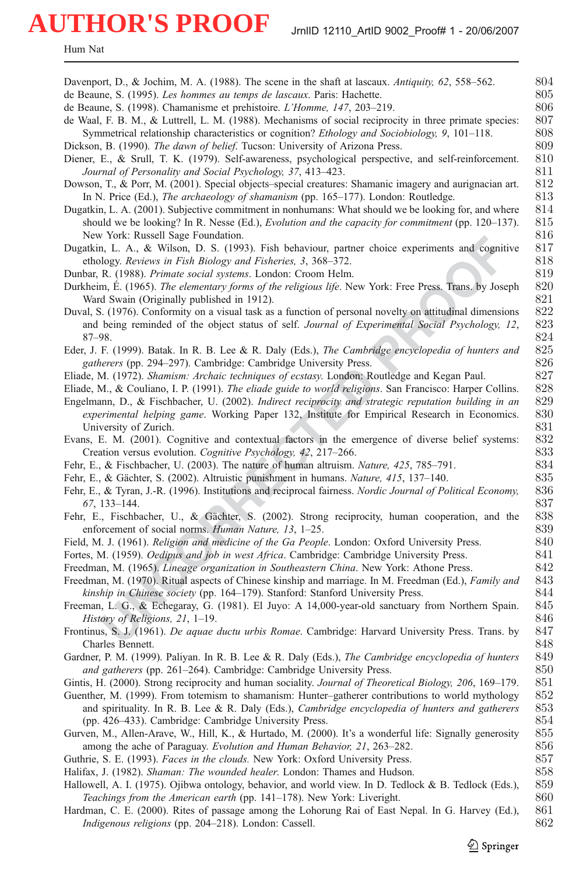<span id="page-19-0"></span>Hum Nat

| Davenport, D., & Jochim, M. A. (1988). The scene in the shaft at lascaux. Antiquity, 62, 558–562.           | 804 |
|-------------------------------------------------------------------------------------------------------------|-----|
| de Beaune, S. (1995). Les hommes au temps de lascaux. Paris: Hachette.                                      | 805 |
| de Beaune, S. (1998). Chamanisme et prehistoire. L'Homme, 147, 203–219.                                     | 806 |
| de Waal, F. B. M., & Luttrell, L. M. (1988). Mechanisms of social reciprocity in three primate species:     | 807 |
| Symmetrical relationship characteristics or cognition? <i>Ethology and Sociobiology</i> , 9, 101-118.       | 808 |
| Dickson, B. (1990). The dawn of belief. Tucson: University of Arizona Press.                                | 809 |
| Diener, E., & Srull, T. K. (1979). Self-awareness, psychological perspective, and self-reinforcement.       | 810 |
| Journal of Personality and Social Psychology, 37, 413–423.                                                  | 811 |
| Dowson, T., & Porr, M. (2001). Special objects–special creatures: Shamanic imagery and aurignacian art.     | 812 |
| In N. Price (Ed.), <i>The archaeology of shamanism</i> (pp. 165–177). London: Routledge.                    | 813 |
| Dugatkin, L. A. (2001). Subjective commitment in nonhumans: What should we be looking for, and where        | 814 |
| should we be looking? In R. Nesse (Ed.), Evolution and the capacity for commitment (pp. 120-137).           | 815 |
| New York: Russell Sage Foundation.                                                                          | 816 |
| Dugatkin, L. A., & Wilson, D. S. (1993). Fish behaviour, partner choice experiments and cognitive           | 817 |
| ethology. Reviews in Fish Biology and Fisheries, 3, 368–372.                                                | 818 |
| Dunbar, R. (1988). Primate social systems. London: Croom Helm.                                              | 819 |
| Durkheim, E. (1965). The elementary forms of the religious life. New York: Free Press. Trans. by Joseph     | 820 |
| Ward Swain (Originally published in 1912).                                                                  | 821 |
| Duval, S. (1976). Conformity on a visual task as a function of personal novelty on attitudinal dimensions   | 822 |
| and being reminded of the object status of self. Journal of Experimental Social Psychology, 12,             | 823 |
| 87–98.                                                                                                      | 824 |
| Eder, J. F. (1999). Batak. In R. B. Lee & R. Daly (Eds.), The Cambridge encyclopedia of hunters and         | 825 |
| gatherers (pp. 294–297). Cambridge: Cambridge University Press.                                             | 826 |
| Eliade, M. (1972). Shamism: Archaic techniques of ecstasy. London: Routledge and Kegan Paul.                | 827 |
| Eliade, M., & Couliano, I. P. (1991). The eliade guide to world religions. San Francisco: Harper Collins.   | 828 |
| Engelmann, D., & Fischbacher, U. (2002). Indirect reciprocity and strategic reputation building in an       | 829 |
| experimental helping game. Working Paper 132, Institute for Empirical Research in Economics.                | 830 |
| University of Zurich.                                                                                       | 831 |
| Evans, E. M. (2001). Cognitive and contextual factors in the emergence of diverse belief systems:           | 832 |
| Creation versus evolution. Cognitive Psychology, 42, 217-266.                                               | 833 |
| Fehr, E., & Fischbacher, U. (2003). The nature of human altruism. Nature, 425, 785-791.                     | 834 |
| Fehr, E., & Gächter, S. (2002). Altruistic punishment in humans. Nature, 415, 137-140.                      | 835 |
| Fehr, E., & Tyran, J.-R. (1996). Institutions and reciprocal fairness. Nordic Journal of Political Economy, | 836 |
| 67, 133-144.                                                                                                | 837 |
| Fehr, E., Fischbacher, U., & Gächter, S. (2002). Strong reciprocity, human cooperation, and the             | 838 |
| enforcement of social norms. Human Nature, 13, 1-25.                                                        | 839 |
| Field, M. J. (1961). <i>Religion and medicine of the Ga People</i> . London: Oxford University Press.       | 840 |
| Fortes, M. (1959). Oedipus and job in west Africa. Cambridge: Cambridge University Press.                   | 841 |
| Freedman, M. (1965). Lineage organization in Southeastern China. New York: Athone Press.                    | 842 |
| Freedman, M. (1970). Ritual aspects of Chinese kinship and marriage. In M. Freedman (Ed.), Family and       | 843 |
| <i>kinship in Chinese society</i> (pp. 164–179). Stanford: Stanford University Press.                       | 844 |
| Freeman, L. G., & Echegaray, G. (1981). El Juyo: A 14,000-year-old sanctuary from Northern Spain.           | 845 |
| History of Religions, 21, 1–19.                                                                             | 846 |
| Frontinus, S. J. (1961). De aquae ductu urbis Romae. Cambridge: Harvard University Press. Trans. by         | 847 |
| Charles Bennett.                                                                                            | 848 |
| Gardner, P. M. (1999). Paliyan. In R. B. Lee & R. Daly (Eds.), The Cambridge encyclopedia of hunters        | 849 |
| and gatherers (pp. 261-264). Cambridge: Cambridge University Press.                                         | 850 |
| Gintis, H. (2000). Strong reciprocity and human sociality. Journal of Theoretical Biology, 206, 169–179.    | 851 |
| Guenther, M. (1999). From totemism to shamanism: Hunter-gatherer contributions to world mythology           | 852 |
| and spirituality. In R. B. Lee & R. Daly (Eds.), Cambridge encyclopedia of hunters and gatherers            | 853 |
| (pp. 426–433). Cambridge: Cambridge University Press.                                                       | 854 |
| Gurven, M., Allen-Arave, W., Hill, K., & Hurtado, M. (2000). It's a wonderful life: Signally generosity     | 855 |
| among the ache of Paraguay. Evolution and Human Behavior, 21, 263-282.                                      | 856 |
| Guthrie, S. E. (1993). Faces in the clouds. New York: Oxford University Press.                              | 857 |
| Halifax, J. (1982). Shaman: The wounded healer. London: Thames and Hudson.                                  | 858 |
| Hallowell, A. I. (1975). Ojibwa ontology, behavior, and world view. In D. Tedlock & B. Tedlock (Eds.),      | 859 |
| Teachings from the American earth (pp. 141-178). New York: Liveright.                                       | 860 |
| Hardman, C. E. (2000). Rites of passage among the Lohorung Rai of East Nepal. In G. Harvey (Ed.),           | 861 |
| <i>Indigenous religions</i> (pp. 204–218). London: Cassell.                                                 | 862 |

Indigenous religions (pp. 204-218). London: Cassell.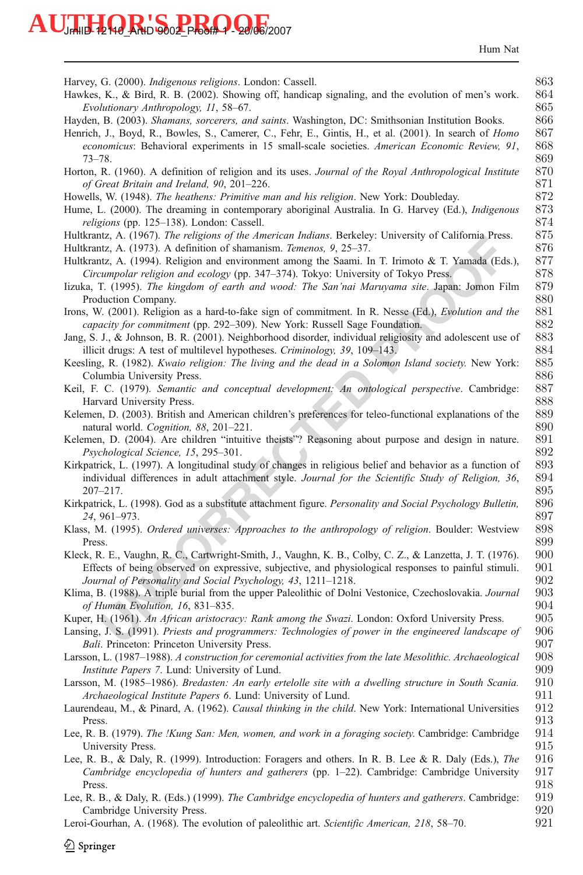<span id="page-20-0"></span>

| Harvey, G. (2000). <i>Indigenous religions</i> . London: Cassell.                                                                                  | 863        |
|----------------------------------------------------------------------------------------------------------------------------------------------------|------------|
| Hawkes, K., & Bird, R. B. (2002). Showing off, handicap signaling, and the evolution of men's work.<br>Evolutionary Anthropology, 11, 58-67.       | 864<br>865 |
| Hayden, B. (2003). Shamans, sorcerers, and saints. Washington, DC: Smithsonian Institution Books.                                                  | 866        |
| Henrich, J., Boyd, R., Bowles, S., Camerer, C., Fehr, E., Gintis, H., et al. (2001). In search of <i>Homo</i>                                      | 867        |
| economicus: Behavioral experiments in 15 small-scale societies. American Economic Review, 91,                                                      | 868        |
| $73 - 78.$                                                                                                                                         | 869        |
| Horton, R. (1960). A definition of religion and its uses. Journal of the Royal Anthropological Institute                                           | 870        |
| of Great Britain and Ireland, 90, 201–226.                                                                                                         | 871        |
| Howells, W. (1948). The heathens: Primitive man and his religion. New York: Doubleday.                                                             | 872        |
| Hume, L. (2000). The dreaming in contemporary aboriginal Australia. In G. Harvey (Ed.), Indigenous                                                 | 873        |
| religions (pp. 125–138). London: Cassell.                                                                                                          | 874        |
| Hultkrantz, A. (1967). The religions of the American Indians. Berkeley: University of California Press.                                            | 875        |
| Hultkrantz, A. (1973). A definition of shamanism. Temenos, 9, 25-37.                                                                               | 876        |
| Hultkrantz, A. (1994). Religion and environment among the Saami. In T. Irimoto & T. Yamada (Eds.),                                                 | 877        |
| Circumpolar religion and ecology (pp. 347-374). Tokyo: University of Tokyo Press.                                                                  | 878        |
| Iizuka, T. (1995). The kingdom of earth and wood: The San'nai Maruyama site. Japan: Jomon Film                                                     | 879        |
| Production Company.                                                                                                                                | 880        |
| Irons, W. (2001). Religion as a hard-to-fake sign of commitment. In R. Nesse (Ed.), Evolution and the                                              | 881        |
| <i>capacity for commitment</i> (pp. 292–309). New York: Russell Sage Foundation.                                                                   | 882        |
| Jang, S. J., & Johnson, B. R. (2001). Neighborhood disorder, individual religiosity and adolescent use of                                          | 883        |
| illicit drugs: A test of multilevel hypotheses. Criminology, 39, 109-143.                                                                          | 884        |
| Keesling, R. (1982). Kwaio religion: The living and the dead in a Solomon Island society. New York:                                                | 885        |
| Columbia University Press.                                                                                                                         | 886        |
| Keil, F. C. (1979). Semantic and conceptual development: An ontological perspective. Cambridge:                                                    | 887        |
| Harvard University Press.                                                                                                                          | 888<br>889 |
| Kelemen, D. (2003). British and American children's preferences for teleo-functional explanations of the<br>natural world. Cognition, 88, 201-221. | 890        |
| Kelemen, D. (2004). Are children "intuitive theists"? Reasoning about purpose and design in nature.                                                | 891        |
| Psychological Science, 15, 295-301.                                                                                                                | 892        |
| Kirkpatrick, L. (1997). A longitudinal study of changes in religious belief and behavior as a function of                                          | 893        |
| individual differences in adult attachment style. Journal for the Scientific Study of Religion, 36,                                                | 894        |
| $207 - 217.$                                                                                                                                       | 895        |
| Kirkpatrick, L. (1998). God as a substitute attachment figure. Personality and Social Psychology Bulletin,                                         | 896        |
| 24, 961–973.                                                                                                                                       | 897        |
| Klass, M. (1995). Ordered universes: Approaches to the anthropology of religion. Boulder: Westview                                                 | 898        |
| Press.                                                                                                                                             | 899        |
| Kleck, R. E., Vaughn, R. C., Cartwright-Smith, J., Vaughn, K. B., Colby, C. Z., & Lanzetta, J. T. (1976).                                          | 900        |
| Effects of being observed on expressive, subjective, and physiological responses to painful stimuli.                                               | 901        |
| Journal of Personality and Social Psychology, 43, 1211-1218.                                                                                       | 902        |
| Klima, B. (1988). A triple burial from the upper Paleolithic of Dolni Vestonice, Czechoslovakia. Journal                                           | 903        |
| of Human Evolution, 16, 831-835.                                                                                                                   | 904        |
| Kuper, H. (1961). An African aristocracy: Rank among the Swazi. London: Oxford University Press.                                                   | 905        |
| Lansing, J. S. (1991). Priests and programmers: Technologies of power in the engineered landscape of                                               | 906        |
| Bali. Princeton: Princeton University Press.                                                                                                       | 907        |
| Larsson, L. (1987–1988). A construction for ceremonial activities from the late Mesolithic. Archaeological                                         | 908        |
| <i>Institute Papers 7. Lund: University of Lund.</i>                                                                                               | 909        |
| Larsson, M. (1985–1986). Bredasten: An early ertelolle site with a dwelling structure in South Scania.                                             | 910        |
| <i>Archaeological Institute Papers 6. Lund: University of Lund.</i>                                                                                | 911        |
| Laurendeau, M., & Pinard, A. (1962). Causal thinking in the child. New York: International Universities                                            | 912        |
| Press.                                                                                                                                             | 913        |
| Lee, R. B. (1979). The !Kung San: Men, women, and work in a foraging society. Cambridge: Cambridge                                                 | 914        |
| University Press.                                                                                                                                  | 915        |
| Lee, R. B., & Daly, R. (1999). Introduction: Foragers and others. In R. B. Lee & R. Daly (Eds.), The                                               | 916        |
| Cambridge encyclopedia of hunters and gatherers (pp. 1-22). Cambridge: Cambridge University                                                        | 917        |
| Press.                                                                                                                                             | 918        |
| Lee, R. B., & Daly, R. (Eds.) (1999). The Cambridge encyclopedia of hunters and gatherers. Cambridge:<br>Cambridge University Press.               | 919<br>920 |

Leroi-Gourhan, A. (1968). The evolution of paleolithic art. Scientific American, 218, 58-70. 921

 $\underline{\hat{\otimes}}$  Springer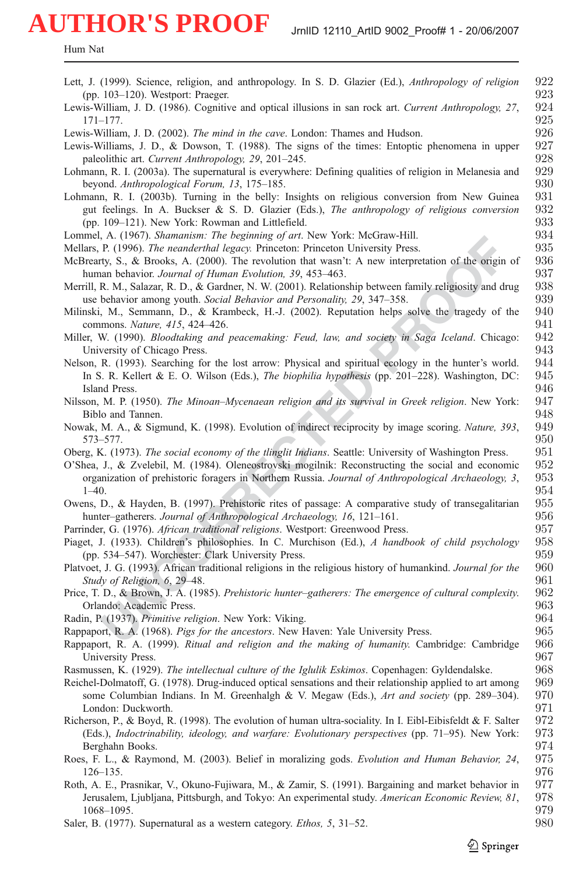<span id="page-21-0"></span>Hum Nat

| Lett, J. (1999). Science, religion, and anthropology. In S. D. Glazier (Ed.), Anthropology of religion<br>(pp. $103-120$ ). Westport: Praeger.                                                             | 922<br>923 |
|------------------------------------------------------------------------------------------------------------------------------------------------------------------------------------------------------------|------------|
| Lewis-William, J. D. (1986). Cognitive and optical illusions in san rock art. Current Anthropology, 27,                                                                                                    | 924        |
| $171 - 177.$                                                                                                                                                                                               | 925        |
| Lewis-William, J. D. (2002). The mind in the cave. London: Thames and Hudson.                                                                                                                              | 926        |
| Lewis-Williams, J. D., & Dowson, T. (1988). The signs of the times: Entoptic phenomena in upper<br>paleolithic art. Current Anthropology, 29, 201-245.                                                     | 927<br>928 |
| Lohmann, R. I. (2003a). The supernatural is everywhere: Defining qualities of religion in Melanesia and                                                                                                    | 929        |
| beyond. Anthropological Forum, 13, 175-185.                                                                                                                                                                | 930        |
| Lohmann, R. I. (2003b). Turning in the belly: Insights on religious conversion from New Guinea                                                                                                             | 931        |
| gut feelings. In A. Buckser & S. D. Glazier (Eds.), The anthropology of religious conversion                                                                                                               | 932        |
| (pp. 109–121). New York: Rowman and Littlefield.                                                                                                                                                           | 933        |
| Lommel, A. (1967). Shamanism: The beginning of art. New York: McGraw-Hill.                                                                                                                                 | 934        |
| Mellars, P. (1996). The neanderthal legacy. Princeton: Princeton University Press.                                                                                                                         | 935        |
| McBrearty, S., & Brooks, A. (2000). The revolution that wasn't: A new interpretation of the origin of                                                                                                      | 936        |
| human behavior. Journal of Human Evolution, 39, 453–463.                                                                                                                                                   | 937        |
| Merrill, R. M., Salazar, R. D., & Gardner, N. W. (2001). Relationship between family religiosity and drug                                                                                                  | 938        |
| use behavior among youth. Social Behavior and Personality, 29, 347-358.                                                                                                                                    | 939        |
| Milinski, M., Semmann, D., & Krambeck, H.-J. (2002). Reputation helps solve the tragedy of the                                                                                                             | 940        |
| commons. Nature, 415, 424-426.                                                                                                                                                                             | 941        |
| Miller, W. (1990). Bloodtaking and peacemaking: Feud, law, and society in Saga Iceland. Chicago:                                                                                                           | 942<br>943 |
| University of Chicago Press.<br>Nelson, R. (1993). Searching for the lost arrow: Physical and spiritual ecology in the hunter's world.                                                                     | 944        |
| In S. R. Kellert & E. O. Wilson (Eds.), The biophilia hypothesis (pp. 201–228). Washington, DC:                                                                                                            | 945        |
| Island Press.                                                                                                                                                                                              | 946        |
| Nilsson, M. P. (1950). The Minoan-Mycenaean religion and its survival in Greek religion. New York:                                                                                                         | 947        |
| Biblo and Tannen.                                                                                                                                                                                          | 948        |
| Nowak, M. A., & Sigmund, K. (1998). Evolution of indirect reciprocity by image scoring. Nature, 393,                                                                                                       | 949        |
| 573-577.                                                                                                                                                                                                   | 950        |
| Oberg, K. (1973). The social economy of the tlinglit Indians. Seattle: University of Washington Press.                                                                                                     | 951        |
| O'Shea, J., & Zvelebil, M. (1984). Oleneostrovski mogilnik: Reconstructing the social and economic                                                                                                         | 952        |
| organization of prehistoric foragers in Northern Russia. Journal of Anthropological Archaeology, 3,                                                                                                        | 953        |
| $1 - 40.$                                                                                                                                                                                                  | 954        |
| Owens, D., & Hayden, B. (1997). Prehistoric rites of passage: A comparative study of transegalitarian                                                                                                      | 955        |
| hunter-gatherers. Journal of Anthropological Archaeology, 16, 121-161.                                                                                                                                     | 956<br>957 |
| Parrinder, G. (1976). African traditional religions. Westport: Greenwood Press.<br>Piaget, J. (1933). Children's philosophies. In C. Murchison (Ed.), A handbook of child psychology                       | 958        |
| (pp. 534–547). Worchester: Clark University Press.                                                                                                                                                         | 959        |
| Platvoet, J. G. (1993). African traditional religions in the religious history of humankind. Journal for the                                                                                               | 960        |
| Study of Religion, 6, 29–48.                                                                                                                                                                               | 961        |
| Price, T. D., & Brown, J. A. (1985). Prehistoric hunter-gatherers: The emergence of cultural complexity.                                                                                                   | 962        |
| Orlando: Academic Press.                                                                                                                                                                                   | 963        |
| Radin, P. (1937). Primitive religion. New York: Viking.                                                                                                                                                    | 964        |
| Rappaport, R. A. (1968). <i>Pigs for the ancestors</i> . New Haven: Yale University Press.                                                                                                                 | 965        |
| Rappaport, R. A. (1999). Ritual and religion and the making of humanity. Cambridge: Cambridge<br>University Press.                                                                                         | 966<br>967 |
| Rasmussen, K. (1929). The intellectual culture of the Iglulik Eskimos. Copenhagen: Gyldendalske.                                                                                                           | 968        |
| Reichel-Dolmatoff, G. (1978). Drug-induced optical sensations and their relationship applied to art among                                                                                                  | 969        |
| some Columbian Indians. In M. Greenhalgh & V. Megaw (Eds.), Art and society (pp. 289–304).                                                                                                                 | 970        |
| London: Duckworth.                                                                                                                                                                                         | 971        |
| Richerson, P., & Boyd, R. (1998). The evolution of human ultra-sociality. In I. Eibl-Eibisfeldt & F. Salter                                                                                                | 972        |
| (Eds.), Indoctrinability, ideology, and warfare: Evolutionary perspectives (pp. 71–95). New York:<br>Berghahn Books.                                                                                       | 973<br>974 |
| Roes, F. L., & Raymond, M. (2003). Belief in moralizing gods. Evolution and Human Behavior, 24,                                                                                                            | 975        |
| $126 - 135.$                                                                                                                                                                                               | 976        |
| Roth, A. E., Prasnikar, V., Okuno-Fujiwara, M., & Zamir, S. (1991). Bargaining and market behavior in<br>Jerusalem, Ljubljana, Pittsburgh, and Tokyo: An experimental study. American Economic Review, 81, | 977<br>978 |

1068–1095. 979 Saler, B. (1977). Supernatural as a western category. *Ethos*, 5, 31–52. 980

 $\underline{\textcircled{\tiny 2}}$  Springer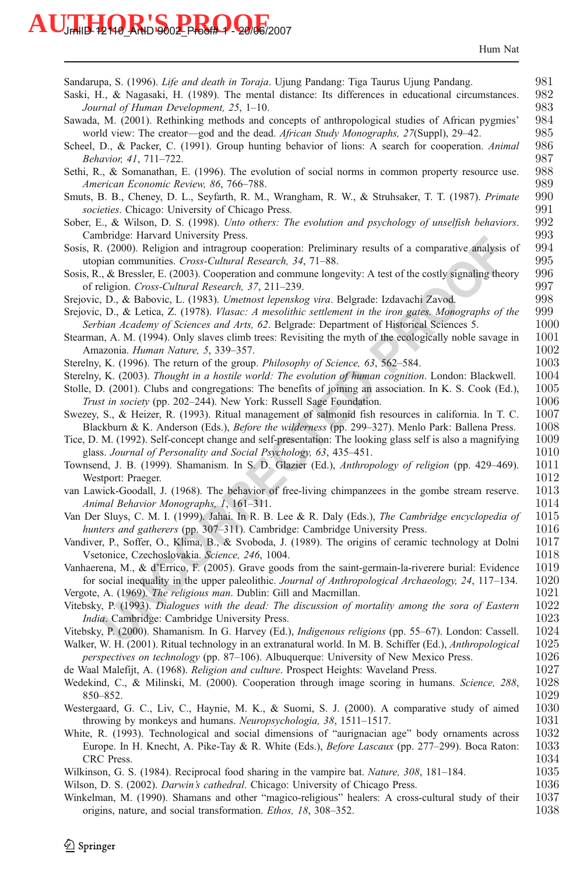<span id="page-22-0"></span>

| Sandarupa, S. (1996). Life and death in Toraja. Ujung Pandang: Tiga Taurus Ujung Pandang.                     | 981  |
|---------------------------------------------------------------------------------------------------------------|------|
| Saski, H., & Nagasaki, H. (1989). The mental distance: Its differences in educational circumstances.          | 982  |
|                                                                                                               | 983  |
| Journal of Human Development, 25, 1–10.                                                                       |      |
| Sawada, M. (2001). Rethinking methods and concepts of anthropological studies of African pygmies'             | 984  |
| world view: The creator—god and the dead. African Study Monographs, 27(Suppl), 29–42.                         | 985  |
| Scheel, D., & Packer, C. (1991). Group hunting behavior of lions: A search for cooperation. Animal            | 986  |
| Behavior, 41, 711-722.                                                                                        | 987  |
|                                                                                                               |      |
| Sethi, R., & Somanathan, E. (1996). The evolution of social norms in common property resource use.            | 988  |
| American Economic Review, 86, 766-788.                                                                        | 989  |
| Smuts, B. B., Cheney, D. L., Seyfarth, R. M., Wrangham, R. W., & Struhsaker, T. T. (1987). Primate            | 990  |
| societies. Chicago: University of Chicago Press.                                                              | 991  |
| Sober, E., & Wilson, D. S. (1998). Unto others: The evolution and psychology of unselfish behaviors.          | 992  |
| Cambridge: Harvard University Press.                                                                          | 993  |
|                                                                                                               |      |
| Sosis, R. (2000). Religion and intragroup cooperation: Preliminary results of a comparative analysis of       | 994  |
| utopian communities. Cross-Cultural Research, 34, 71-88.                                                      | 995  |
| Sosis, R., & Bressler, E. (2003). Cooperation and commune longevity: A test of the costly signaling theory    | 996  |
| of religion. Cross-Cultural Research, 37, 211–239.                                                            | 997  |
| Srejovic, D., & Babovic, L. (1983). Umetnost lepenskog vira. Belgrade: Izdavachi Zavod.                       | 998  |
| Srejovic, D., & Letica, Z. (1978). Vlasac: A mesolithic settlement in the iron gates. Monographs of the       | 999  |
|                                                                                                               |      |
| Serbian Academy of Sciences and Arts, 62. Belgrade: Department of Historical Sciences 5.                      | 1000 |
| Stearman, A. M. (1994). Only slaves climb trees: Revisiting the myth of the ecologically noble savage in      | 1001 |
| Amazonia. Human Nature, 5, 339-357.                                                                           | 1002 |
| Sterelny, K. (1996). The return of the group. Philosophy of Science, 63, 562-584.                             | 1003 |
| Sterelny, K. (2003). Thought in a hostile world: The evolution of human cognition. London: Blackwell.         | 1004 |
| Stolle, D. (2001). Clubs and congregations: The benefits of joining an association. In K. S. Cook (Ed.),      | 1005 |
|                                                                                                               |      |
| Trust in society (pp. 202-244). New York: Russell Sage Foundation.                                            | 1006 |
| Swezey, S., & Heizer, R. (1993). Ritual management of salmonid fish resources in california. In T. C.         | 1007 |
| Blackburn & K. Anderson (Eds.), <i>Before the wilderness</i> (pp. 299–327). Menlo Park: Ballena Press.        | 1008 |
| Tice, D. M. (1992). Self-concept change and self-presentation: The looking glass self is also a magnifying    | 1009 |
| glass. Journal of Personality and Social Psychology, 63, 435-451.                                             | 1010 |
| Townsend, J. B. (1999). Shamanism. In S. D. Glazier (Ed.), Anthropology of religion (pp. 429-469).            | 1011 |
|                                                                                                               | 1012 |
| Westport: Praeger.                                                                                            |      |
| van Lawick-Goodall, J. (1968). The behavior of free-living chimpanzees in the gombe stream reserve.           | 1013 |
| Animal Behavior Monographs, 1, 161–311.                                                                       | 1014 |
| Van Der Sluys, C. M. I. (1999). Jahai. In R. B. Lee & R. Daly (Eds.), The Cambridge encyclopedia of           | 1015 |
| hunters and gatherers (pp. 307-311). Cambridge: Cambridge University Press.                                   | 1016 |
| Vandiver, P., Soffer, O., Klima, B., & Svoboda, J. (1989). The origins of ceramic technology at Dolni         | 1017 |
| Vsetonice, Czechoslovakia. Science, 246, 1004.                                                                | 1018 |
|                                                                                                               |      |
| Vanhaerena, M., & d'Errico, F. (2005). Grave goods from the saint-germain-la-riverere burial: Evidence        | 1019 |
| for social inequality in the upper paleolithic. Journal of Anthropological Archaeology, 24, 117–134.          | 1020 |
| Vergote, A. (1969). The religious man. Dublin: Gill and Macmillan.                                            | 1021 |
| Vitebsky, P. (1993). Dialogues with the dead: The discussion of mortality among the sora of Eastern           | 1022 |
| India. Cambridge: Cambridge University Press.                                                                 | 1023 |
| Vitebsky, P. (2000). Shamanism. In G. Harvey (Ed.), <i>Indigenous religions</i> (pp. 55–67). London: Cassell. | 1024 |
|                                                                                                               |      |
| Walker, W. H. (2001). Ritual technology in an extranatural world. In M. B. Schiffer (Ed.), Anthropological    | 1025 |
| <i>perspectives on technology</i> (pp. 87–106). Albuquerque: University of New Mexico Press.                  | 1026 |
| de Waal Malefijt, A. (1968). Religion and culture. Prospect Heights: Waveland Press.                          | 1027 |
| Wedekind, C., & Milinski, M. (2000). Cooperation through image scoring in humans. Science, 288,               | 1028 |
| 850–852.                                                                                                      | 1029 |
| Westergaard, G. C., Liv, C., Haynie, M. K., & Suomi, S. J. (2000). A comparative study of aimed               | 1030 |
| throwing by monkeys and humans. Neuropsychologia, 38, 1511-1517.                                              | 1031 |
|                                                                                                               |      |
| White, R. (1993). Technological and social dimensions of "aurignacian age" body ornaments across              | 1032 |
| Europe. In H. Knecht, A. Pike-Tay & R. White (Eds.), Before Lascaux (pp. 277–299). Boca Raton:                | 1033 |
| CRC Press.                                                                                                    | 1034 |
| Wilkinson, G. S. (1984). Reciprocal food sharing in the vampire bat. Nature, 308, 181–184.                    | 1035 |
| Wilson, D. S. (2002). Darwin's cathedral. Chicago: University of Chicago Press.                               | 1036 |
| Winkelman, M. (1990). Shamans and other "magico-religious" healers: A cross-cultural study of their           | 1037 |
|                                                                                                               |      |

origins, nature, and social transformation. *Ethos, 18*, 308–352. 1038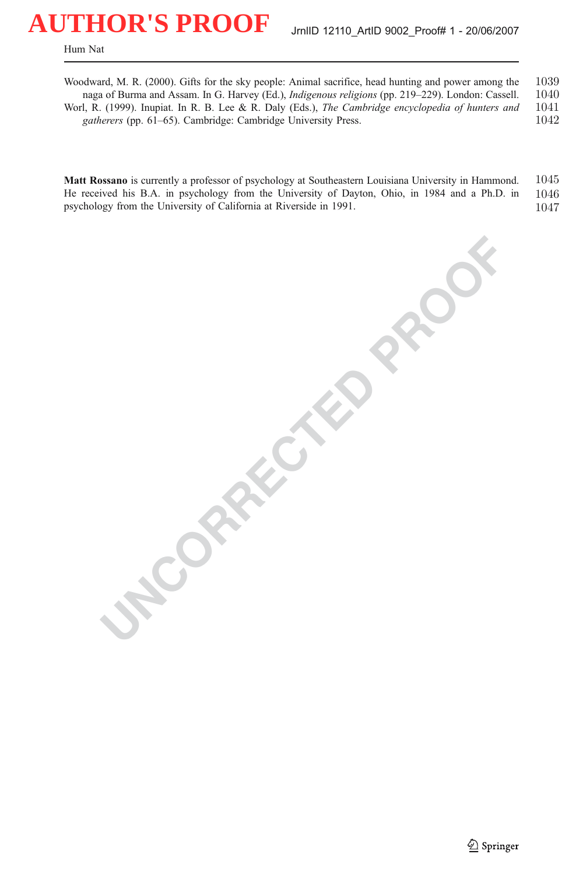<span id="page-23-0"></span>Hum Nat

| Woodward, M. R. (2000). Gifts for the sky people: Animal sacrifice, head hunting and power among the     | 1039 |
|----------------------------------------------------------------------------------------------------------|------|
| naga of Burma and Assam. In G. Harvey (Ed.), <i>Indigenous religions</i> (pp. 219–229). London: Cassell. | 1040 |
| Worl, R. (1999). Inupiat. In R. B. Lee & R. Daly (Eds.), The Cambridge encyclopedia of hunters and       | 1041 |
| <i>gatherers</i> (pp. 61–65). Cambridge: Cambridge University Press.                                     | 1042 |

1045 1046 1047 Matt Rossano is currently a professor of psychology at Southeastern Louisiana University in Hammond. He received his B.A. in psychology from the University of Dayton, Ohio, in 1984 and a Ph.D. in psychology from the University of California at Riverside in 1991.

**UNCORRECTED PROOF**